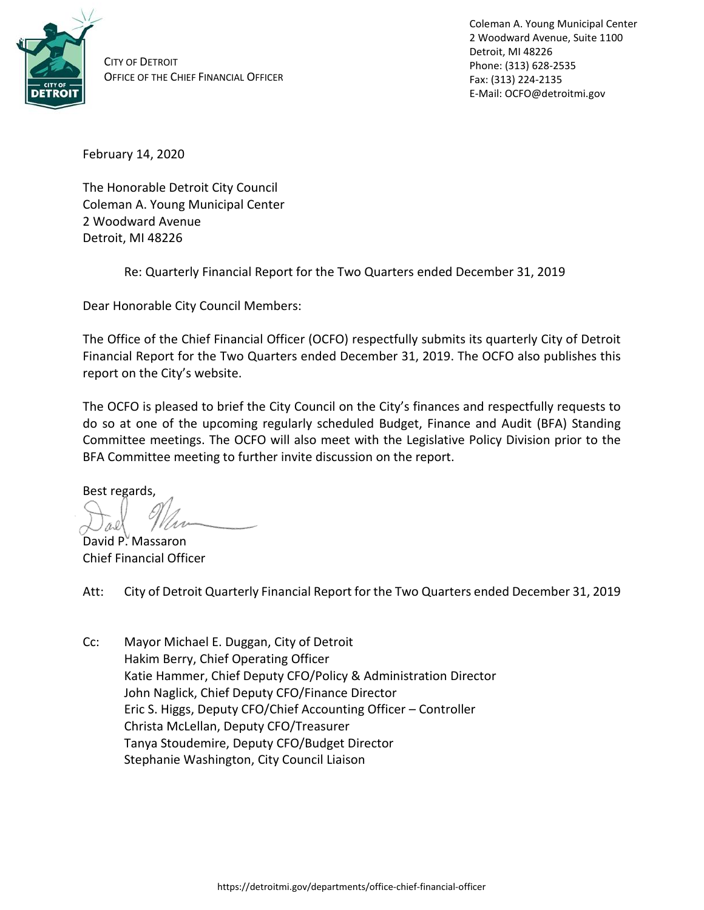

CITY OF DETROIT OFFICE OF THE CHIEF FINANCIAL OFFICER Coleman A. Young Municipal Center 2 Woodward Avenue, Suite 1100 Detroit, MI 48226 Phone: (313) 628-2535 Fax: (313) 224-2135 E-Mail: OCFO@detroitmi.gov

February 14, 2020

The Honorable Detroit City Council Coleman A. Young Municipal Center 2 Woodward Avenue Detroit, MI 48226

Re: Quarterly Financial Report for the Two Quarters ended December 31, 2019

Dear Honorable City Council Members:

The Office of the Chief Financial Officer (OCFO) respectfully submits its quarterly City of Detroit Financial Report for the Two Quarters ended December 31, 2019. The OCFO also publishes this report on the City's website.

The OCFO is pleased to brief the City Council on the City's finances and respectfully requests to do so at one of the upcoming regularly scheduled Budget, Finance and Audit (BFA) Standing Committee meetings. The OCFO will also meet with the Legislative Policy Division prior to the BFA Committee meeting to further invite discussion on the report.

Best regards,

David P. Massaron Chief Financial Officer

Att: City of Detroit Quarterly Financial Report for the Two Quarters ended December 31, 2019

Cc: Mayor Michael E. Duggan, City of Detroit Hakim Berry, Chief Operating Officer Katie Hammer, Chief Deputy CFO/Policy & Administration Director John Naglick, Chief Deputy CFO/Finance Director Eric S. Higgs, Deputy CFO/Chief Accounting Officer – Controller Christa McLellan, Deputy CFO/Treasurer Tanya Stoudemire, Deputy CFO/Budget Director Stephanie Washington, City Council Liaison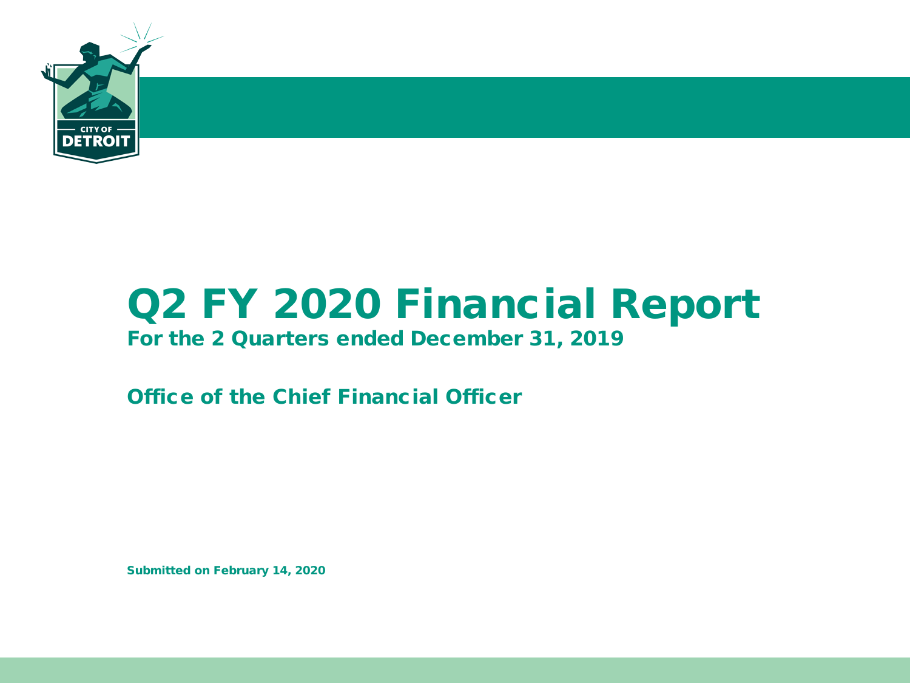

# Q2 FY 2020 Financial Report

### For the 2 Quarters ended December 31, 2019

Office of the Chief Financial Officer

Submitted on February 14, 2020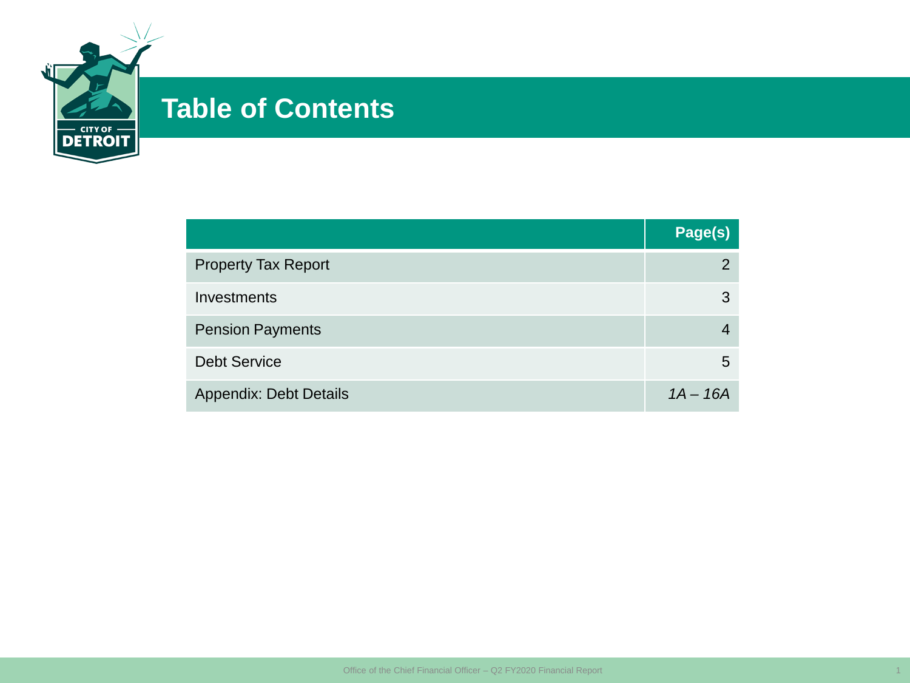

## **Table of Contents**

|                               | Page(s)    |
|-------------------------------|------------|
| <b>Property Tax Report</b>    | 2          |
| Investments                   | 3          |
| <b>Pension Payments</b>       |            |
| <b>Debt Service</b>           | 5          |
| <b>Appendix: Debt Details</b> | $1A - 16A$ |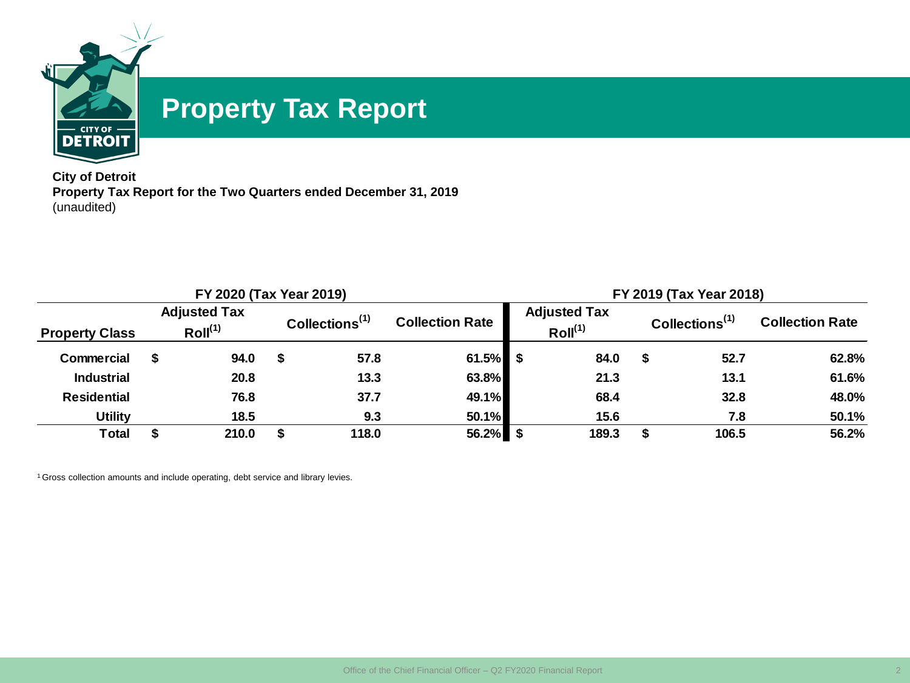

## **Property Tax Report**

**City of Detroit Property Tax Report for the Two Quarters ended December 31, 2019** (unaudited)

|                                                                     |  | FY 2020 (Tax Year 2019) |   |                                             |             | FY 2019 (Tax Year 2018) |                                            |    |                            |                        |  |  |  |  |  |
|---------------------------------------------------------------------|--|-------------------------|---|---------------------------------------------|-------------|-------------------------|--------------------------------------------|----|----------------------------|------------------------|--|--|--|--|--|
| <b>Adjusted Tax</b><br>Roll <sup>(1)</sup><br><b>Property Class</b> |  |                         |   | Collections $(1)$<br><b>Collection Rate</b> |             |                         | <b>Adjusted Tax</b><br>Roll <sup>(1)</sup> |    | Collections <sup>(1)</sup> | <b>Collection Rate</b> |  |  |  |  |  |
| Commercial                                                          |  | 94.0                    | S | 57.8                                        | $61.5\%$ \$ |                         | 84.0                                       | £. | 52.7                       | 62.8%                  |  |  |  |  |  |
| <b>Industrial</b>                                                   |  | 20.8                    |   | 13.3                                        | 63.8%       |                         | 21.3                                       |    | 13.1                       | 61.6%                  |  |  |  |  |  |
| <b>Residential</b>                                                  |  | 76.8                    |   | 37.7                                        | 49.1%       |                         | 68.4                                       |    | 32.8                       | 48.0%                  |  |  |  |  |  |
| <b>Utility</b>                                                      |  | 18.5                    |   | 9.3                                         | 50.1%       |                         | 15.6                                       |    | 7.8                        | 50.1%                  |  |  |  |  |  |
| Total                                                               |  | 210.0                   |   | 118.0                                       | $56.2\%$ \$ |                         | 189.3                                      |    | 106.5                      | 56.2%                  |  |  |  |  |  |

<sup>1</sup> Gross collection amounts and include operating, debt service and library levies.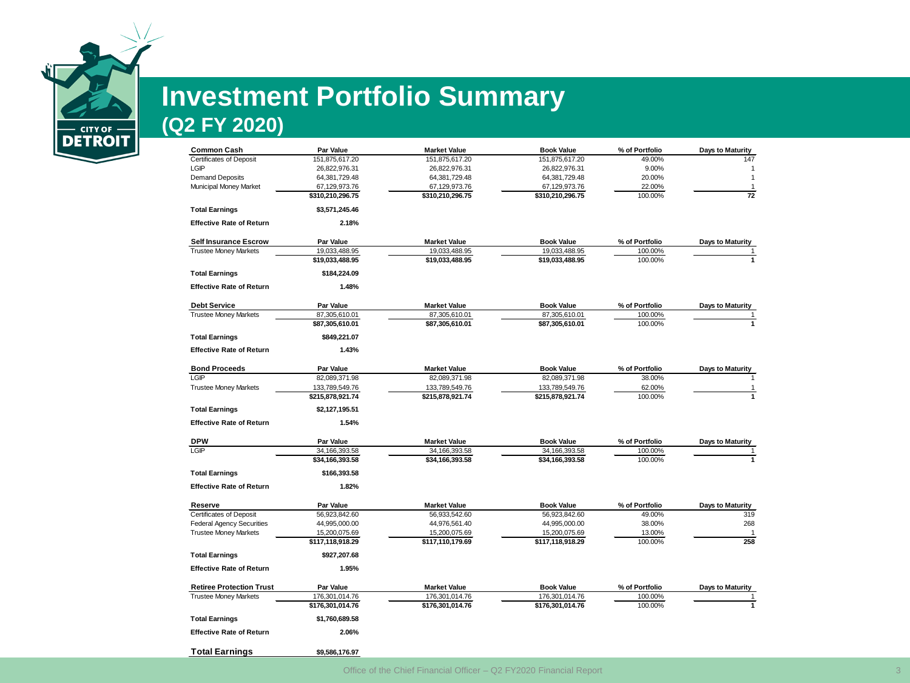

# **Investment Portfolio Summary**

### **(Q2 FY 2020)**

| <b>Common Cash</b>               | Par Value        | <b>Market Value</b> | <b>Book Value</b> | % of Portfolio | <b>Days to Maturity</b> |
|----------------------------------|------------------|---------------------|-------------------|----------------|-------------------------|
| <b>Certificates of Deposit</b>   | 151,875,617.20   | 151,875,617.20      | 151,875,617.20    | 49.00%         | 147                     |
| LGIP                             | 26,822,976.31    | 26,822,976.31       | 26,822,976.31     | 9.00%          | $\mathbf{1}$            |
| <b>Demand Deposits</b>           | 64,381,729.48    | 64,381,729.48       | 64,381,729.48     | 20.00%         | $\mathbf{1}$            |
| Municipal Money Market           | 67,129,973.76    | 67,129,973.76       | 67,129,973.76     | 22.00%         | $\mathbf{1}$            |
|                                  | \$310,210,296.75 | \$310,210,296.75    | \$310,210,296.75  | 100.00%        | 72                      |
| <b>Total Earnings</b>            | \$3,571,245.46   |                     |                   |                |                         |
| <b>Effective Rate of Return</b>  | 2.18%            |                     |                   |                |                         |
| <b>Self Insurance Escrow</b>     | <b>Par Value</b> | <b>Market Value</b> | <b>Book Value</b> | % of Portfolio | <b>Days to Maturity</b> |
| <b>Trustee Money Markets</b>     | 19,033,488.95    | 19,033,488.95       | 19,033,488.95     | 100.00%        | $\overline{1}$          |
|                                  | \$19,033,488.95  | \$19,033,488.95     | \$19,033,488.95   | 100.00%        | $\mathbf{1}$            |
| <b>Total Earnings</b>            | \$184,224.09     |                     |                   |                |                         |
| <b>Effective Rate of Return</b>  | 1.48%            |                     |                   |                |                         |
|                                  |                  |                     |                   |                |                         |
| <b>Debt Service</b>              | Par Value        | <b>Market Value</b> | <b>Book Value</b> | % of Portfolio | <b>Days to Maturity</b> |
| <b>Trustee Money Markets</b>     | 87,305,610.01    | 87,305,610.01       | 87,305,610.01     | 100.00%        | 1                       |
|                                  | \$87,305,610.01  | \$87,305,610.01     | \$87,305,610.01   | 100.00%        | $\mathbf{1}$            |
| <b>Total Earnings</b>            | \$849,221.07     |                     |                   |                |                         |
| <b>Effective Rate of Return</b>  | 1.43%            |                     |                   |                |                         |
| <b>Bond Proceeds</b>             | Par Value        | <b>Market Value</b> | <b>Book Value</b> | % of Portfolio | <b>Days to Maturity</b> |
| LGIP                             | 82,089,371.98    | 82,089,371.98       | 82,089,371.98     | 38.00%         | $\mathbf{1}$            |
| <b>Trustee Money Markets</b>     | 133,789,549.76   | 133,789,549.76      | 133,789,549.76    | 62.00%         | 1                       |
|                                  | \$215,878,921.74 | \$215,878,921.74    | \$215,878,921.74  | 100.00%        | $\overline{1}$          |
| <b>Total Earnings</b>            | \$2,127,195.51   |                     |                   |                |                         |
| <b>Effective Rate of Return</b>  | 1.54%            |                     |                   |                |                         |
| DPW                              | Par Value        | <b>Market Value</b> | <b>Book Value</b> | % of Portfolio | <b>Days to Maturity</b> |
| LGIP                             | 34,166,393.58    | 34,166,393.58       | 34, 166, 393.58   | 100.00%        | 1                       |
|                                  | \$34,166,393.58  | \$34,166,393.58     | \$34,166,393.58   | 100.00%        | $\overline{1}$          |
| <b>Total Earnings</b>            | \$166,393.58     |                     |                   |                |                         |
| <b>Effective Rate of Return</b>  | 1.82%            |                     |                   |                |                         |
| Reserve                          | Par Value        | <b>Market Value</b> | <b>Book Value</b> | % of Portfolio | <b>Days to Maturity</b> |
| <b>Certificates of Deposit</b>   | 56,923,842.60    | 56,933,542.60       | 56,923,842.60     | 49.00%         | 319                     |
| <b>Federal Agency Securities</b> | 44,995,000.00    | 44,976,561.40       | 44,995,000.00     | 38.00%         | 268                     |
| <b>Trustee Money Markets</b>     | 15,200,075.69    | 15,200,075.69       | 15,200,075.69     | 13.00%         | $\mathbf{1}$            |
|                                  | \$117,118,918.29 | \$117,110,179.69    | \$117,118,918.29  | 100.00%        | 258                     |
| <b>Total Earnings</b>            | \$927,207.68     |                     |                   |                |                         |
| <b>Effective Rate of Return</b>  | 1.95%            |                     |                   |                |                         |
| <b>Retiree Protection Trust</b>  | <b>Par Value</b> | <b>Market Value</b> | <b>Book Value</b> | % of Portfolio | Days to Maturity        |
| <b>Trustee Money Markets</b>     | 176,301,014.76   | 176,301,014.76      | 176,301,014.76    | 100.00%        | $\mathbf{1}$            |
|                                  | \$176,301,014.76 | \$176,301,014.76    | \$176,301,014.76  | 100.00%        | $\mathbf{1}$            |
|                                  |                  |                     |                   |                |                         |
| <b>Total Earnings</b>            | \$1,760,689.58   |                     |                   |                |                         |
| <b>Effective Rate of Return</b>  | 2.06%            |                     |                   |                |                         |
| <b>Total Earnings</b>            | \$9,586,176.97   |                     |                   |                |                         |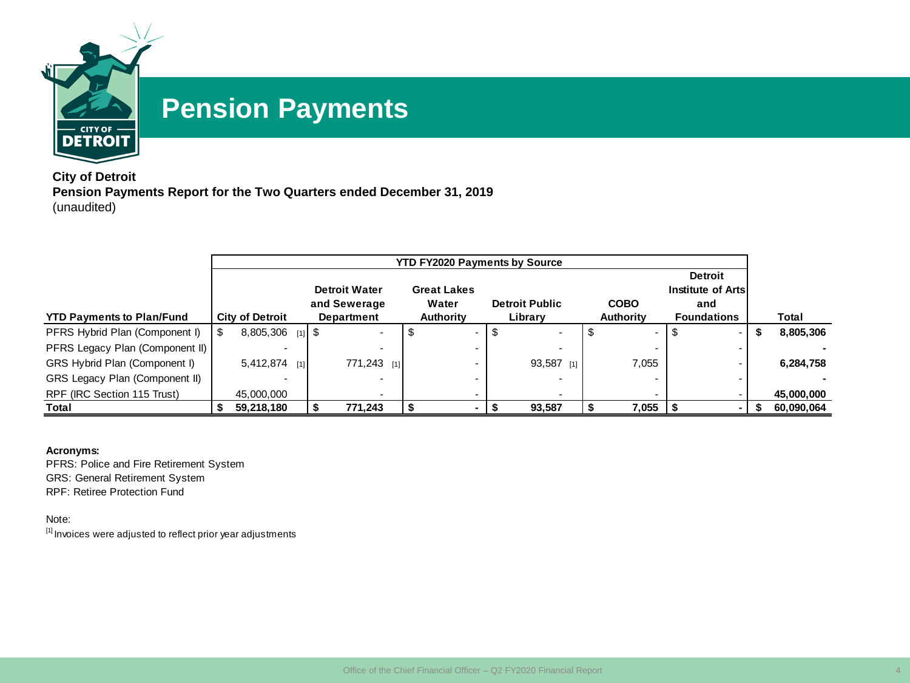

## **Pension Payments**

**City of Detroit Pension Payments Report for the Two Quarters ended December 31, 2019** (unaudited)

|                                  |                        |     |                          | <b>YTD FY2020 Payments by Source</b> |                       |                  |                    |   |            |
|----------------------------------|------------------------|-----|--------------------------|--------------------------------------|-----------------------|------------------|--------------------|---|------------|
|                                  |                        |     |                          |                                      |                       |                  | <b>Detroit</b>     |   |            |
|                                  |                        |     | <b>Detroit Water</b>     | <b>Great Lakes</b>                   |                       |                  | Institute of Artsl |   |            |
|                                  |                        |     | and Sewerage             | Water                                | <b>Detroit Public</b> | <b>COBO</b>      | and                |   |            |
| <b>YTD Payments to Plan/Fund</b> | <b>City of Detroit</b> |     | Department               | <b>Authority</b>                     | Library               | <b>Authority</b> | <b>Foundations</b> |   | Total      |
| PFRS Hybrid Plan (Component I)   | $8,805,306$ [1] \$     |     | $\overline{\phantom{0}}$ | $\sim$                               |                       |                  | \$                 | э | 8,805,306  |
| PFRS Legacy Plan (Component II)  |                        |     |                          |                                      |                       |                  |                    |   |            |
| GRS Hybrid Plan (Component I)    | 5,412,874              | [1] | 771,243 [1]              |                                      | 93,587 [1]            | 7,055            |                    |   | 6,284,758  |
| GRS Legacy Plan (Component II)   |                        |     |                          |                                      |                       |                  |                    |   |            |
| RPF (IRC Section 115 Trust)      | 45,000,000             |     |                          |                                      |                       |                  |                    |   | 45,000,000 |
| Total                            | 59,218,180             |     | 771,243                  |                                      | 93,587                | 7,055            |                    |   | 60,090,064 |

#### **Acronyms:**

PFRS: Police and Fire Retirement System GRS: General Retirement System RPF: Retiree Protection Fund

Note:

 $[1]$  Invoices were adjusted to reflect prior year adjustments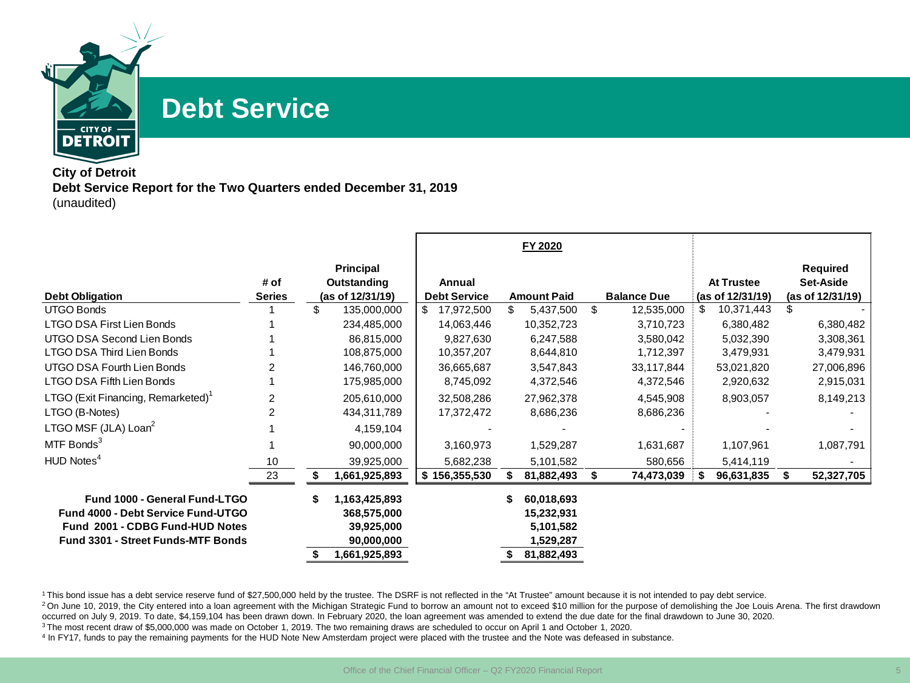

## **Debt Service**

#### **City of Detroit Debt Service Report for the Two Quarters ended December 31, 2019** (unaudited)

| # of           |                                                                |                                   |    |                                                    |                                  |                        |   |                        |                  |                                                  |
|----------------|----------------------------------------------------------------|-----------------------------------|----|----------------------------------------------------|----------------------------------|------------------------|---|------------------------|------------------|--------------------------------------------------|
| <b>Series</b>  | <b>Principal</b><br>Outstanding                                | Annual<br><b>Debt Service</b>     |    |                                                    |                                  | <b>Balance Due</b>     |   | <b>At Trustee</b>      |                  | <b>Required</b><br>Set-Aside<br>(as of 12/31/19) |
|                | \$<br>135,000,000                                              | \$<br>17,972,500                  | \$ | 5,437,500                                          | \$                               | 12,535,000             | S | 10,371,443             | S                |                                                  |
|                | 234,485,000                                                    | 14,063,446                        |    | 10,352,723                                         |                                  | 3,710,723              |   | 6,380,482              |                  | 6,380,482                                        |
|                | 86,815,000<br>108,875,000                                      | 9,827,630<br>10,357,207           |    | 6,247,588<br>8,644,810                             |                                  | 3,580,042<br>1,712,397 |   | 5,032,390<br>3,479,931 |                  | 3,308,361<br>3,479,931                           |
|                | 146,760,000                                                    | 36,665,687                        |    | 3,547,843                                          |                                  | 33,117,844             |   | 53,021,820             |                  | 27,006,896                                       |
|                | 175,985,000                                                    | 8,745,092                         |    | 4,372,546                                          |                                  | 4,372,546              |   | 2,920,632              |                  | 2,915,031                                        |
| $\overline{2}$ | 205,610,000                                                    | 32,508,286                        |    | 27,962,378                                         |                                  | 4,545,908              |   | 8,903,057              |                  | 8,149,213                                        |
| 2              | 434,311,789                                                    | 17,372,472                        |    | 8,686,236                                          |                                  | 8,686,236              |   |                        |                  |                                                  |
|                | 4,159,104                                                      |                                   |    |                                                    |                                  |                        |   |                        |                  |                                                  |
|                | 90,000,000                                                     | 3,160,973                         |    | 1,529,287                                          |                                  | 1,631,687              |   | 1,107,961              |                  | 1,087,791                                        |
| 10             | 39,925,000                                                     | 5,682,238                         |    | 5,101,582                                          |                                  | 580,656                |   | 5,414,119              |                  |                                                  |
| 23             | 1,661,925,893                                                  | \$156,355,530                     |    | 81,882,493                                         | \$                               | 74,473,039             |   | 96,631,835             | \$               | 52,327,705                                       |
|                | \$<br>1,163,425,893<br>368,575,000<br>39,925,000<br>90,000,000 |                                   | S  | 60,018,693<br>15,232,931<br>5,101,582<br>1,529,287 |                                  |                        |   |                        |                  |                                                  |
|                |                                                                | (as of 12/31/19)<br>1,661,925,893 |    |                                                    | <b>Amount Paid</b><br>81,882,493 |                        |   |                        | (as of 12/31/19) |                                                  |

<sup>1</sup> This bond issue has a debt service reserve fund of \$27,500,000 held by the trustee. The DSRF is not reflected in the "At Trustee" amount because it is not intended to pay debt service.

<sup>2</sup>On June 10, 2019, the City entered into a loan agreement with the Michigan Strategic Fund to borrow an amount not to exceed \$10 million for the purpose of demolishing the Joe Louis Arena. The first drawdown occurred on July 9, 2019. To date, \$4,159,104 has been drawn down. In February 2020, the loan agreement was amended to extend the due date for the final drawdown to June 30, 2020.

<sup>3</sup> The most recent draw of \$5,000,000 was made on October 1, 2019. The two remaining draws are scheduled to occur on April 1 and October 1, 2020.

<sup>4</sup> In FY17, funds to pay the remaining payments for the HUD Note New Amsterdam project were placed with the trustee and the Note was defeased in substance.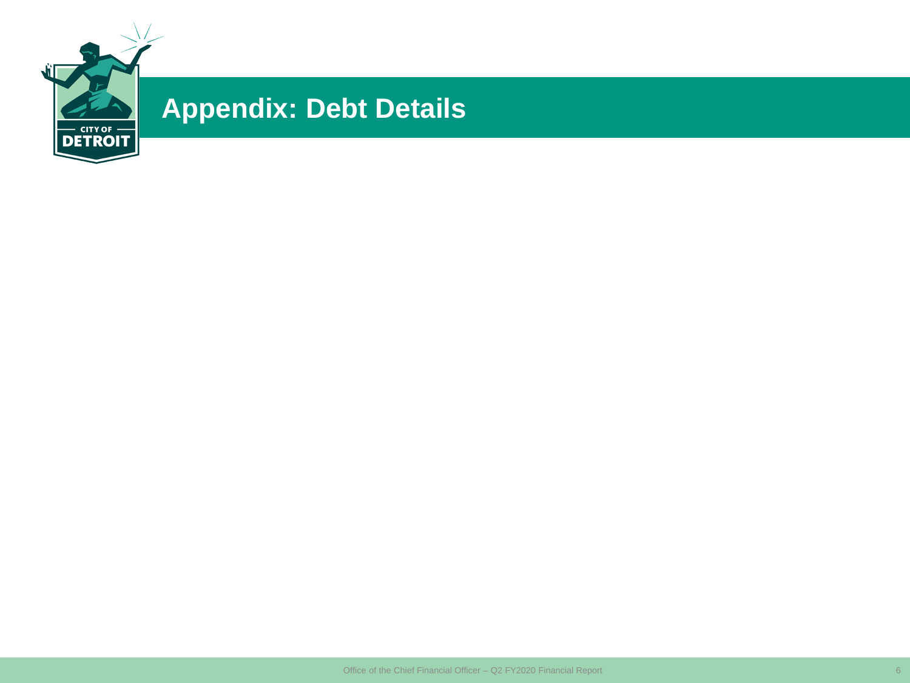

## **Appendix: Debt Details**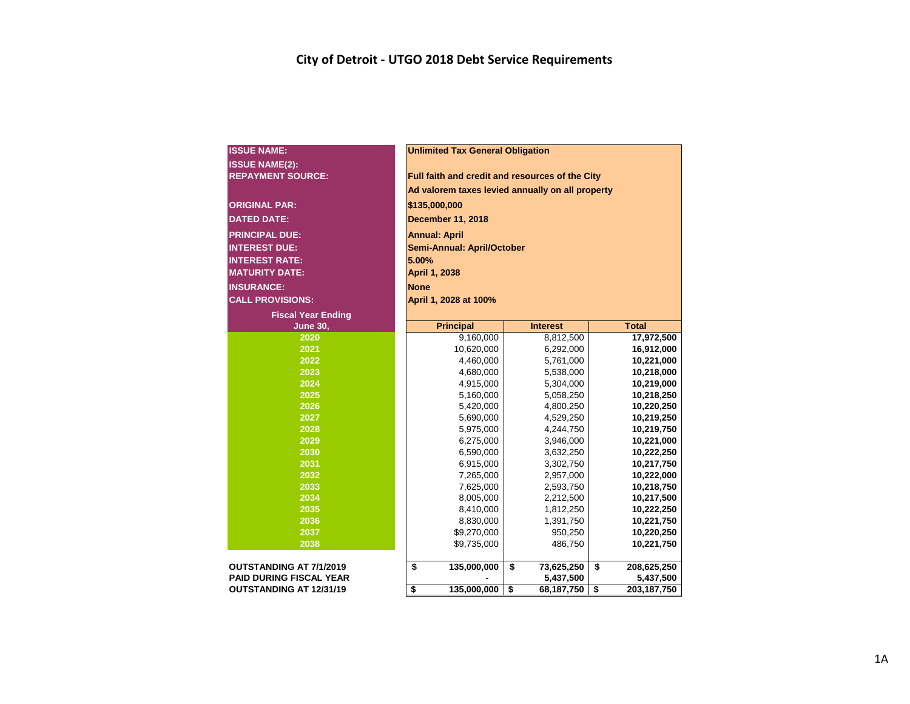| <b>ISSUE NAME:</b>             |    | <b>Unlimited Tax General Obligation</b>         |                                                  |    |                          |  |  |  |  |  |  |  |  |  |  |
|--------------------------------|----|-------------------------------------------------|--------------------------------------------------|----|--------------------------|--|--|--|--|--|--|--|--|--|--|
| <b>ISSUE NAME(2):</b>          |    | Full faith and credit and resources of the City |                                                  |    |                          |  |  |  |  |  |  |  |  |  |  |
| <b>REPAYMENT SOURCE:</b>       |    |                                                 |                                                  |    |                          |  |  |  |  |  |  |  |  |  |  |
|                                |    |                                                 | Ad valorem taxes levied annually on all property |    |                          |  |  |  |  |  |  |  |  |  |  |
| <b>ORIGINAL PAR:</b>           |    | \$135,000,000                                   |                                                  |    |                          |  |  |  |  |  |  |  |  |  |  |
| <b>DATED DATE:</b>             |    | December 11, 2018                               |                                                  |    |                          |  |  |  |  |  |  |  |  |  |  |
|                                |    |                                                 |                                                  |    |                          |  |  |  |  |  |  |  |  |  |  |
| <b>PRINCIPAL DUE:</b>          |    | <b>Annual: April</b>                            |                                                  |    |                          |  |  |  |  |  |  |  |  |  |  |
| <b>INTEREST DUE:</b>           |    | Semi-Annual: April/October                      |                                                  |    |                          |  |  |  |  |  |  |  |  |  |  |
| <b>INTEREST RATE:</b>          |    | 5.00%                                           |                                                  |    |                          |  |  |  |  |  |  |  |  |  |  |
| <b>MATURITY DATE:</b>          |    | April 1, 2038                                   |                                                  |    |                          |  |  |  |  |  |  |  |  |  |  |
| <b>INSURANCE:</b>              |    | <b>None</b>                                     |                                                  |    |                          |  |  |  |  |  |  |  |  |  |  |
| <b>CALL PROVISIONS:</b>        |    | April 1, 2028 at 100%                           |                                                  |    |                          |  |  |  |  |  |  |  |  |  |  |
| <b>Fiscal Year Ending</b>      |    |                                                 |                                                  |    |                          |  |  |  |  |  |  |  |  |  |  |
| <b>June 30,</b>                |    | <b>Principal</b>                                | <b>Interest</b>                                  |    | <b>Total</b>             |  |  |  |  |  |  |  |  |  |  |
| 2020                           |    | 9,160,000                                       | 8,812,500                                        |    | 17,972,500               |  |  |  |  |  |  |  |  |  |  |
| 2021                           |    | 10,620,000                                      | 6,292,000                                        |    | 16,912,000               |  |  |  |  |  |  |  |  |  |  |
| 2022                           |    | 4,460,000                                       | 5,761,000                                        |    | 10,221,000               |  |  |  |  |  |  |  |  |  |  |
| 2023                           |    | 4,680,000                                       | 5,538,000                                        |    | 10,218,000               |  |  |  |  |  |  |  |  |  |  |
| 2024                           |    | 4,915,000                                       | 5,304,000                                        |    | 10,219,000               |  |  |  |  |  |  |  |  |  |  |
| 2025                           |    | 5,160,000                                       | 5,058,250                                        |    | 10,218,250               |  |  |  |  |  |  |  |  |  |  |
| 2026                           |    | 5,420,000                                       | 4,800,250                                        |    | 10,220,250               |  |  |  |  |  |  |  |  |  |  |
| 2027                           |    | 5,690,000                                       | 4,529,250                                        |    | 10,219,250               |  |  |  |  |  |  |  |  |  |  |
| 2028                           |    | 5,975,000                                       | 4,244,750                                        |    | 10,219,750               |  |  |  |  |  |  |  |  |  |  |
| 2029                           |    | 6,275,000                                       | 3,946,000                                        |    | 10,221,000               |  |  |  |  |  |  |  |  |  |  |
| 2030                           |    | 6,590,000                                       | 3,632,250                                        |    | 10,222,250               |  |  |  |  |  |  |  |  |  |  |
| 2031                           |    | 6,915,000                                       | 3,302,750                                        |    | 10,217,750               |  |  |  |  |  |  |  |  |  |  |
| 2032                           |    | 7,265,000                                       | 2,957,000                                        |    | 10,222,000               |  |  |  |  |  |  |  |  |  |  |
| 2033                           |    | 7,625,000                                       | 2,593,750                                        |    | 10,218,750               |  |  |  |  |  |  |  |  |  |  |
| 2034<br>$\overline{2035}$      |    | 8,005,000                                       | 2,212,500                                        |    | 10,217,500               |  |  |  |  |  |  |  |  |  |  |
| 2036                           |    | 8,410,000                                       | 1,812,250                                        |    | 10,222,250               |  |  |  |  |  |  |  |  |  |  |
| 2037                           |    | 8,830,000                                       | 1,391,750                                        |    | 10,221,750               |  |  |  |  |  |  |  |  |  |  |
| 2038                           |    | \$9,270,000<br>\$9,735,000                      | 950,250<br>486,750                               |    | 10,220,250<br>10,221,750 |  |  |  |  |  |  |  |  |  |  |
|                                |    |                                                 |                                                  |    |                          |  |  |  |  |  |  |  |  |  |  |
| <b>OUTSTANDING AT 7/1/2019</b> | \$ | 135,000,000                                     | \$<br>73,625,250                                 | \$ | 208,625,250              |  |  |  |  |  |  |  |  |  |  |
| <b>PAID DURING FISCAL YEAR</b> |    |                                                 | 5,437,500                                        |    | 5,437,500                |  |  |  |  |  |  |  |  |  |  |
| OUTSTANDING AT 12/31/19        | \$ | 135,000,000                                     | \$<br>68, 187, 750                               | \$ | 203, 187, 750            |  |  |  |  |  |  |  |  |  |  |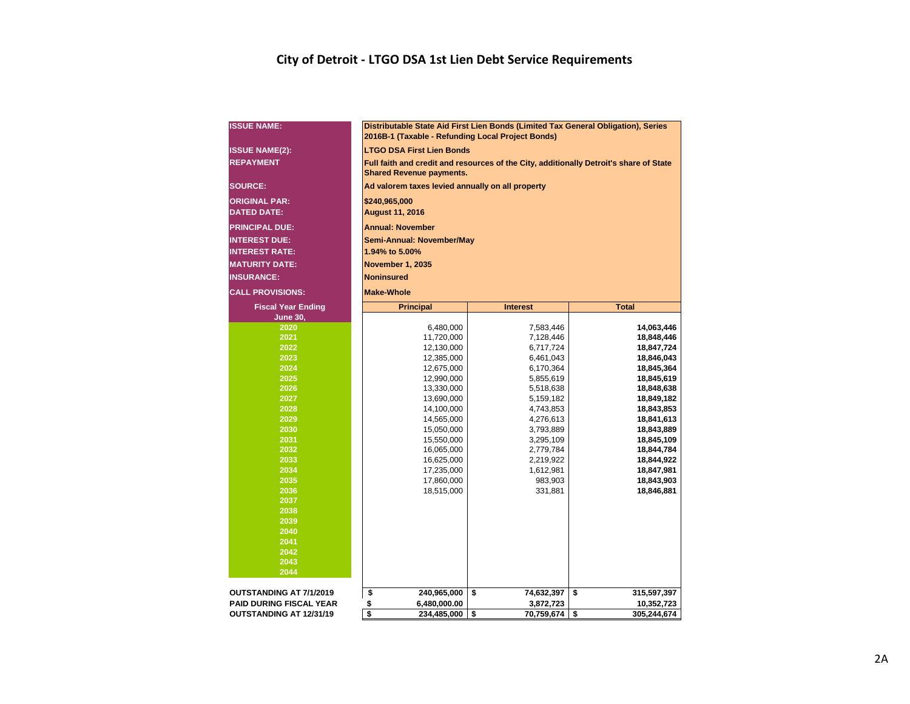#### **City of Detroit - LTGO DSA 1st Lien Debt Service Requirements**

| <b>ISSUE NAME:</b>             | 2016B-1 (Taxable - Refunding Local Project Bonds) | Distributable State Aid First Lien Bonds (Limited Tax General Obligation), Series |                                                                                        |  |  |  |  |  |  |  |  |  |  |  |  |
|--------------------------------|---------------------------------------------------|-----------------------------------------------------------------------------------|----------------------------------------------------------------------------------------|--|--|--|--|--|--|--|--|--|--|--|--|
| <b>ISSUE NAME(2):</b>          | <b>LTGO DSA First Lien Bonds</b>                  |                                                                                   |                                                                                        |  |  |  |  |  |  |  |  |  |  |  |  |
| <b>REPAYMENT</b>               | <b>Shared Revenue payments.</b>                   |                                                                                   | Full faith and credit and resources of the City, additionally Detroit's share of State |  |  |  |  |  |  |  |  |  |  |  |  |
| <b>SOURCE:</b>                 | Ad valorem taxes levied annually on all property  |                                                                                   |                                                                                        |  |  |  |  |  |  |  |  |  |  |  |  |
| <b>ORIGINAL PAR:</b>           |                                                   | \$240,965,000                                                                     |                                                                                        |  |  |  |  |  |  |  |  |  |  |  |  |
| <b>DATED DATE:</b>             | <b>August 11, 2016</b>                            |                                                                                   |                                                                                        |  |  |  |  |  |  |  |  |  |  |  |  |
| <b>PRINCIPAL DUE:</b>          | <b>Annual: November</b>                           |                                                                                   |                                                                                        |  |  |  |  |  |  |  |  |  |  |  |  |
| <b>INTEREST DUE:</b>           |                                                   | Semi-Annual: November/May                                                         |                                                                                        |  |  |  |  |  |  |  |  |  |  |  |  |
| <b>INTEREST RATE:</b>          | 1.94% to 5.00%                                    |                                                                                   |                                                                                        |  |  |  |  |  |  |  |  |  |  |  |  |
| <b>MATURITY DATE:</b>          |                                                   | November 1, 2035                                                                  |                                                                                        |  |  |  |  |  |  |  |  |  |  |  |  |
| <b>INSURANCE:</b>              | Noninsured                                        |                                                                                   |                                                                                        |  |  |  |  |  |  |  |  |  |  |  |  |
| <b>CALL PROVISIONS:</b>        | <b>Make-Whole</b>                                 |                                                                                   |                                                                                        |  |  |  |  |  |  |  |  |  |  |  |  |
| <b>Fiscal Year Ending</b>      | <b>Principal</b>                                  | <b>Interest</b>                                                                   | <b>Total</b>                                                                           |  |  |  |  |  |  |  |  |  |  |  |  |
| <b>June 30,</b>                |                                                   |                                                                                   |                                                                                        |  |  |  |  |  |  |  |  |  |  |  |  |
| 2020                           | 6,480,000                                         | 7,583,446                                                                         | 14,063,446                                                                             |  |  |  |  |  |  |  |  |  |  |  |  |
| 2021                           | 11,720,000                                        | 7,128,446                                                                         | 18,848,446                                                                             |  |  |  |  |  |  |  |  |  |  |  |  |
| 2022                           | 12,130,000                                        | 6,717,724                                                                         | 18,847,724                                                                             |  |  |  |  |  |  |  |  |  |  |  |  |
| 2023                           | 12,385,000                                        | 6,461,043<br>18,846,043<br>12,675,000<br>6,170,364<br>18,845,364                  |                                                                                        |  |  |  |  |  |  |  |  |  |  |  |  |
| 2024                           |                                                   |                                                                                   |                                                                                        |  |  |  |  |  |  |  |  |  |  |  |  |
| 2025<br>2026                   | 12,990,000                                        | 5,855,619                                                                         | 18,845,619                                                                             |  |  |  |  |  |  |  |  |  |  |  |  |
| 2027                           | 13,330,000<br>13,690,000                          | 5,518,638<br>5,159,182                                                            | 18,848,638<br>18,849,182                                                               |  |  |  |  |  |  |  |  |  |  |  |  |
| 2028                           | 14,100,000                                        | 4,743,853                                                                         | 18,843,853                                                                             |  |  |  |  |  |  |  |  |  |  |  |  |
| 2029                           | 14,565,000                                        | 4,276,613                                                                         | 18,841,613                                                                             |  |  |  |  |  |  |  |  |  |  |  |  |
| 2030                           | 15,050,000                                        | 3,793,889                                                                         | 18,843,889                                                                             |  |  |  |  |  |  |  |  |  |  |  |  |
| 2031                           | 15,550,000                                        | 3,295,109                                                                         | 18,845,109                                                                             |  |  |  |  |  |  |  |  |  |  |  |  |
| 2032                           | 16,065,000                                        | 2,779,784                                                                         | 18,844,784                                                                             |  |  |  |  |  |  |  |  |  |  |  |  |
| 2033                           | 16,625,000                                        | 2,219,922                                                                         | 18,844,922                                                                             |  |  |  |  |  |  |  |  |  |  |  |  |
| 2034<br>2035                   | 17,235,000                                        | 1,612,981                                                                         | 18,847,981                                                                             |  |  |  |  |  |  |  |  |  |  |  |  |
| 2036                           | 17,860,000<br>18,515,000                          | 983,903<br>331,881                                                                | 18,843,903<br>18,846,881                                                               |  |  |  |  |  |  |  |  |  |  |  |  |
| 2037                           |                                                   |                                                                                   |                                                                                        |  |  |  |  |  |  |  |  |  |  |  |  |
| 2038                           |                                                   |                                                                                   |                                                                                        |  |  |  |  |  |  |  |  |  |  |  |  |
| 2039                           |                                                   |                                                                                   |                                                                                        |  |  |  |  |  |  |  |  |  |  |  |  |
| 2040                           |                                                   |                                                                                   |                                                                                        |  |  |  |  |  |  |  |  |  |  |  |  |
| 2041                           |                                                   |                                                                                   |                                                                                        |  |  |  |  |  |  |  |  |  |  |  |  |
| 2042<br>2043                   |                                                   |                                                                                   |                                                                                        |  |  |  |  |  |  |  |  |  |  |  |  |
| 2044                           |                                                   |                                                                                   |                                                                                        |  |  |  |  |  |  |  |  |  |  |  |  |
|                                |                                                   |                                                                                   |                                                                                        |  |  |  |  |  |  |  |  |  |  |  |  |
| <b>OUTSTANDING AT 7/1/2019</b> | \$<br>240,965,000                                 | \$<br>74,632,397                                                                  | \$<br>315,597,397                                                                      |  |  |  |  |  |  |  |  |  |  |  |  |
| <b>PAID DURING FISCAL YEAR</b> | \$<br>6,480,000.00                                | 3,872,723                                                                         | 10,352,723                                                                             |  |  |  |  |  |  |  |  |  |  |  |  |
| OUTSTANDING AT 12/31/19        | \$<br>234,485,000                                 | \$<br>70,759,674                                                                  | \$<br>305,244,674                                                                      |  |  |  |  |  |  |  |  |  |  |  |  |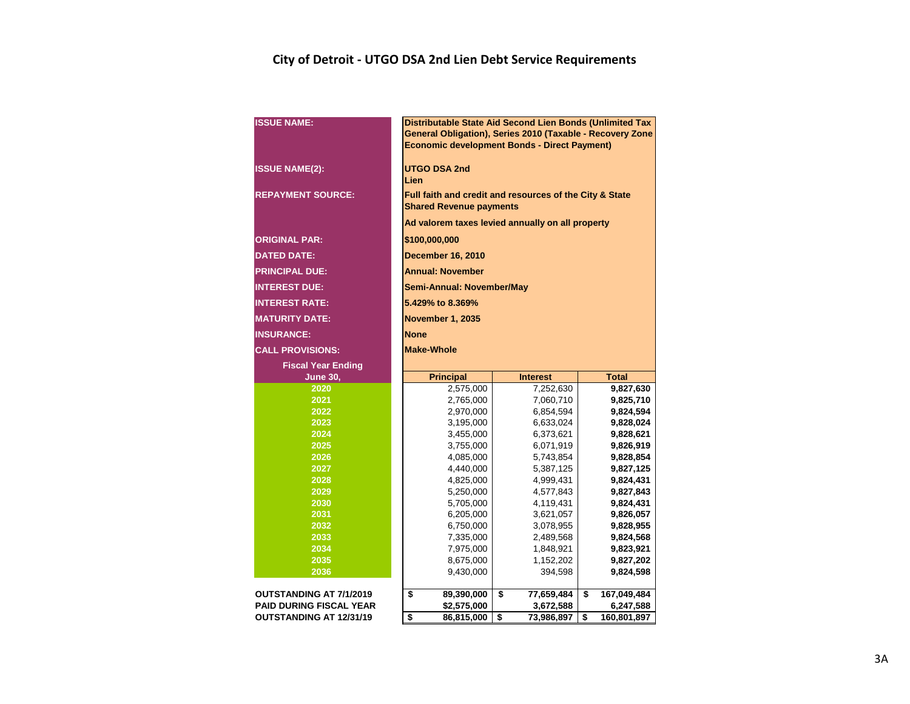#### **City of Detroit - UTGO DSA 2nd Lien Debt Service Requirements**

| <b>ISSUE NAME:</b>                                               | Distributable State Aid Second Lien Bonds (Unlimited Tax<br>General Obligation), Series 2010 (Taxable - Recovery Zone<br><b>Economic development Bonds - Direct Payment)</b> |                               |                                |  |  |  |  |  |  |  |  |  |  |  |
|------------------------------------------------------------------|------------------------------------------------------------------------------------------------------------------------------------------------------------------------------|-------------------------------|--------------------------------|--|--|--|--|--|--|--|--|--|--|--|
| <b>ISSUE NAME(2):</b>                                            | <b>UTGO DSA 2nd</b><br>Lien                                                                                                                                                  |                               |                                |  |  |  |  |  |  |  |  |  |  |  |
| <b>REPAYMENT SOURCE:</b>                                         | Full faith and credit and resources of the City & State<br><b>Shared Revenue payments</b>                                                                                    |                               |                                |  |  |  |  |  |  |  |  |  |  |  |
|                                                                  | Ad valorem taxes levied annually on all property                                                                                                                             |                               |                                |  |  |  |  |  |  |  |  |  |  |  |
| <b>ORIGINAL PAR:</b>                                             | \$100,000,000                                                                                                                                                                |                               |                                |  |  |  |  |  |  |  |  |  |  |  |
| <b>DATED DATE:</b>                                               | <b>December 16, 2010</b>                                                                                                                                                     |                               |                                |  |  |  |  |  |  |  |  |  |  |  |
| <b>PRINCIPAL DUE:</b>                                            | <b>Annual: November</b>                                                                                                                                                      |                               |                                |  |  |  |  |  |  |  |  |  |  |  |
| <b>INTEREST DUE:</b>                                             | Semi-Annual: November/May                                                                                                                                                    |                               |                                |  |  |  |  |  |  |  |  |  |  |  |
| <b>INTEREST RATE:</b>                                            | 5.429% to 8.369%                                                                                                                                                             |                               |                                |  |  |  |  |  |  |  |  |  |  |  |
| <b>MATURITY DATE:</b>                                            | <b>November 1, 2035</b>                                                                                                                                                      |                               |                                |  |  |  |  |  |  |  |  |  |  |  |
| <b>INSURANCE:</b>                                                | <b>None</b>                                                                                                                                                                  |                               |                                |  |  |  |  |  |  |  |  |  |  |  |
| <b>CALL PROVISIONS:</b>                                          | <b>Make-Whole</b>                                                                                                                                                            |                               |                                |  |  |  |  |  |  |  |  |  |  |  |
| <b>Fiscal Year Ending</b>                                        |                                                                                                                                                                              |                               |                                |  |  |  |  |  |  |  |  |  |  |  |
|                                                                  |                                                                                                                                                                              |                               |                                |  |  |  |  |  |  |  |  |  |  |  |
| <b>June 30,</b>                                                  | <b>Principal</b>                                                                                                                                                             | <b>Interest</b>               | <b>Total</b>                   |  |  |  |  |  |  |  |  |  |  |  |
| 2020                                                             | 2,575,000                                                                                                                                                                    | 7,252,630                     | 9,827,630                      |  |  |  |  |  |  |  |  |  |  |  |
| 2021                                                             | 2,765,000                                                                                                                                                                    | 7,060,710                     | 9,825,710                      |  |  |  |  |  |  |  |  |  |  |  |
| 2022                                                             | 2,970,000                                                                                                                                                                    | 6,854,594                     | 9,824,594                      |  |  |  |  |  |  |  |  |  |  |  |
| 2023                                                             | 3,195,000                                                                                                                                                                    | 6,633,024                     | 9,828,024                      |  |  |  |  |  |  |  |  |  |  |  |
| 2024                                                             | 3,455,000                                                                                                                                                                    | 6,373,621                     | 9,828,621                      |  |  |  |  |  |  |  |  |  |  |  |
| 2025                                                             | 3,755,000                                                                                                                                                                    | 6,071,919                     | 9,826,919                      |  |  |  |  |  |  |  |  |  |  |  |
| 2026                                                             | 4,085,000                                                                                                                                                                    | 5,743,854                     | 9,828,854                      |  |  |  |  |  |  |  |  |  |  |  |
| 2027                                                             | 4,440,000                                                                                                                                                                    | 5,387,125                     | 9,827,125                      |  |  |  |  |  |  |  |  |  |  |  |
| 2028<br>2029                                                     | 4,825,000                                                                                                                                                                    | 4,999,431                     | 9,824,431                      |  |  |  |  |  |  |  |  |  |  |  |
| 2030                                                             | 5,250,000<br>5,705,000                                                                                                                                                       | 4,577,843<br>4,119,431        | 9,827,843<br>9,824,431         |  |  |  |  |  |  |  |  |  |  |  |
| 2031                                                             | 6,205,000                                                                                                                                                                    | 3,621,057                     | 9,826,057                      |  |  |  |  |  |  |  |  |  |  |  |
| 2032                                                             | 6,750,000                                                                                                                                                                    | 3,078,955                     | 9,828,955                      |  |  |  |  |  |  |  |  |  |  |  |
| 2033                                                             | 7,335,000                                                                                                                                                                    | 2,489,568                     | 9,824,568                      |  |  |  |  |  |  |  |  |  |  |  |
| 2034                                                             | 7,975,000                                                                                                                                                                    | 1,848,921                     | 9,823,921                      |  |  |  |  |  |  |  |  |  |  |  |
| 2035                                                             | 8,675,000                                                                                                                                                                    | 1,152,202                     | 9,827,202                      |  |  |  |  |  |  |  |  |  |  |  |
| 2036                                                             | 9,430,000                                                                                                                                                                    | 394,598                       | 9,824,598                      |  |  |  |  |  |  |  |  |  |  |  |
|                                                                  |                                                                                                                                                                              |                               |                                |  |  |  |  |  |  |  |  |  |  |  |
| <b>OUTSTANDING AT 7/1/2019</b><br><b>PAID DURING FISCAL YEAR</b> | \$<br>89,390,000<br>\$2,575,000                                                                                                                                              | \$<br>77,659,484<br>3,672,588 | \$<br>167,049,484<br>6,247,588 |  |  |  |  |  |  |  |  |  |  |  |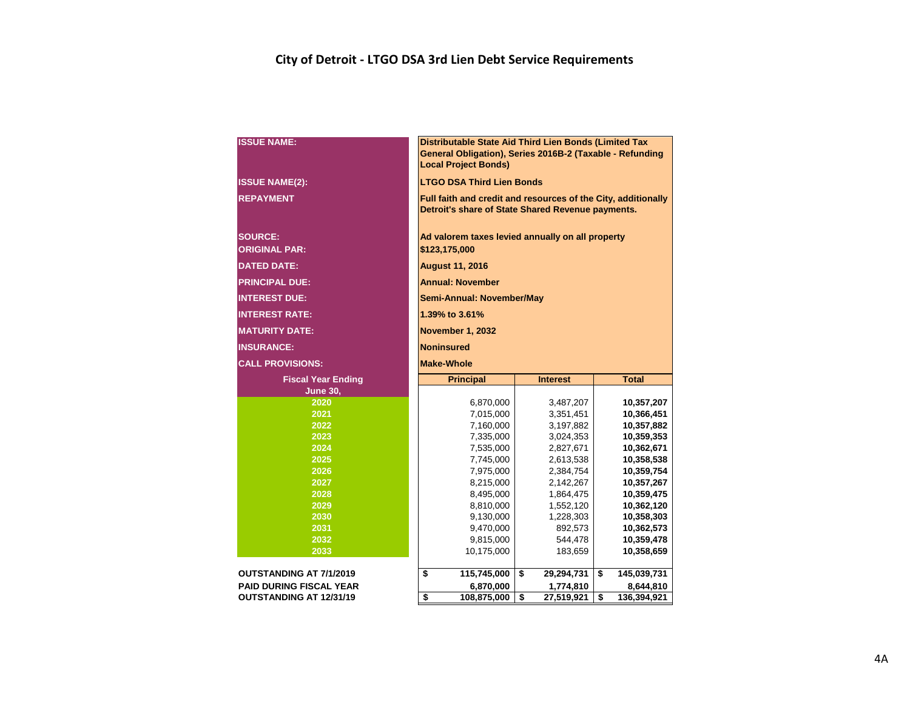#### **City of Detroit - LTGO DSA 3rd Lien Debt Service Requirements**

| <b>ISSUE NAME:</b>                     |                                                                   | Distributable State Aid Third Lien Bonds (Limited Tax<br>General Obligation), Series 2016B-2 (Taxable - Refunding<br><b>Local Project Bonds)</b> |    |                         |    |                          |  |  |  |  |  |  |  |
|----------------------------------------|-------------------------------------------------------------------|--------------------------------------------------------------------------------------------------------------------------------------------------|----|-------------------------|----|--------------------------|--|--|--|--|--|--|--|
| <b>ISSUE NAME(2):</b>                  |                                                                   | <b>LTGO DSA Third Lien Bonds</b>                                                                                                                 |    |                         |    |                          |  |  |  |  |  |  |  |
| <b>REPAYMENT</b>                       |                                                                   | Full faith and credit and resources of the City, additionally<br>Detroit's share of State Shared Revenue payments.                               |    |                         |    |                          |  |  |  |  |  |  |  |
| <b>SOURCE:</b><br><b>ORIGINAL PAR:</b> | Ad valorem taxes levied annually on all property<br>\$123,175,000 |                                                                                                                                                  |    |                         |    |                          |  |  |  |  |  |  |  |
| <b>DATED DATE:</b>                     | <b>August 11, 2016</b>                                            |                                                                                                                                                  |    |                         |    |                          |  |  |  |  |  |  |  |
| <b>PRINCIPAL DUE:</b>                  | <b>Annual: November</b>                                           |                                                                                                                                                  |    |                         |    |                          |  |  |  |  |  |  |  |
| <b>INTEREST DUE:</b>                   | Semi-Annual: November/May                                         |                                                                                                                                                  |    |                         |    |                          |  |  |  |  |  |  |  |
| <b>INTEREST RATE:</b>                  |                                                                   | 1.39% to 3.61%                                                                                                                                   |    |                         |    |                          |  |  |  |  |  |  |  |
| <b>MATURITY DATE:</b>                  | <b>November 1, 2032</b>                                           |                                                                                                                                                  |    |                         |    |                          |  |  |  |  |  |  |  |
| <b>INSURANCE:</b>                      | <b>Noninsured</b>                                                 |                                                                                                                                                  |    |                         |    |                          |  |  |  |  |  |  |  |
| <b>CALL PROVISIONS:</b>                |                                                                   | <b>Make-Whole</b>                                                                                                                                |    |                         |    |                          |  |  |  |  |  |  |  |
| <b>Fiscal Year Ending</b>              |                                                                   | <b>Principal</b>                                                                                                                                 |    | <b>Interest</b>         |    | <b>Total</b>             |  |  |  |  |  |  |  |
| <b>June 30,</b>                        |                                                                   |                                                                                                                                                  |    |                         |    |                          |  |  |  |  |  |  |  |
| 2020                                   |                                                                   | 6,870,000                                                                                                                                        |    | 3,487,207               |    | 10,357,207               |  |  |  |  |  |  |  |
| 2021                                   |                                                                   | 7,015,000                                                                                                                                        |    | 3,351,451               |    | 10,366,451               |  |  |  |  |  |  |  |
| 2022<br>2023                           |                                                                   | 7,160,000<br>7,335,000                                                                                                                           |    | 3,197,882<br>3,024,353  |    | 10,357,882<br>10,359,353 |  |  |  |  |  |  |  |
| 2024                                   |                                                                   | 7,535,000                                                                                                                                        |    | 2,827,671               |    | 10,362,671               |  |  |  |  |  |  |  |
| 2025                                   |                                                                   | 7,745,000                                                                                                                                        |    | 2,613,538               |    | 10,358,538               |  |  |  |  |  |  |  |
| 2026                                   |                                                                   | 7,975,000                                                                                                                                        |    | 2,384,754               |    | 10,359,754               |  |  |  |  |  |  |  |
| 2027                                   |                                                                   | 8,215,000                                                                                                                                        |    | 2,142,267               |    | 10,357,267               |  |  |  |  |  |  |  |
| 2028                                   |                                                                   | 8,495,000                                                                                                                                        |    | 1,864,475               |    | 10,359,475               |  |  |  |  |  |  |  |
| 2029                                   |                                                                   | 8,810,000                                                                                                                                        |    | 1,552,120               |    | 10,362,120               |  |  |  |  |  |  |  |
| 2030                                   |                                                                   | 9,130,000                                                                                                                                        |    | 1,228,303               |    | 10,358,303               |  |  |  |  |  |  |  |
| 2031                                   |                                                                   | 9,470,000                                                                                                                                        |    | 892,573                 |    | 10,362,573               |  |  |  |  |  |  |  |
| 2032                                   |                                                                   | 9,815,000                                                                                                                                        |    | 544,478                 |    | 10,359,478               |  |  |  |  |  |  |  |
| 2033                                   |                                                                   | 10,175,000                                                                                                                                       |    | 183,659                 |    | 10,358,659               |  |  |  |  |  |  |  |
| <b>OUTSTANDING AT 7/1/2019</b>         | \$<br>115,745,000<br>\$<br>\$<br>29,294,731                       |                                                                                                                                                  |    |                         |    |                          |  |  |  |  |  |  |  |
| <b>PAID DURING FISCAL YEAR</b>         |                                                                   | 145,039,731<br>8,644,810                                                                                                                         |    |                         |    |                          |  |  |  |  |  |  |  |
| OUTSTANDING AT 12/31/19                | $\overline{\boldsymbol{\mathsf{s}}}$                              | 6,870,000<br>108,875,000                                                                                                                         | \$ | 1,774,810<br>27,519,921 | \$ | 136,394,921              |  |  |  |  |  |  |  |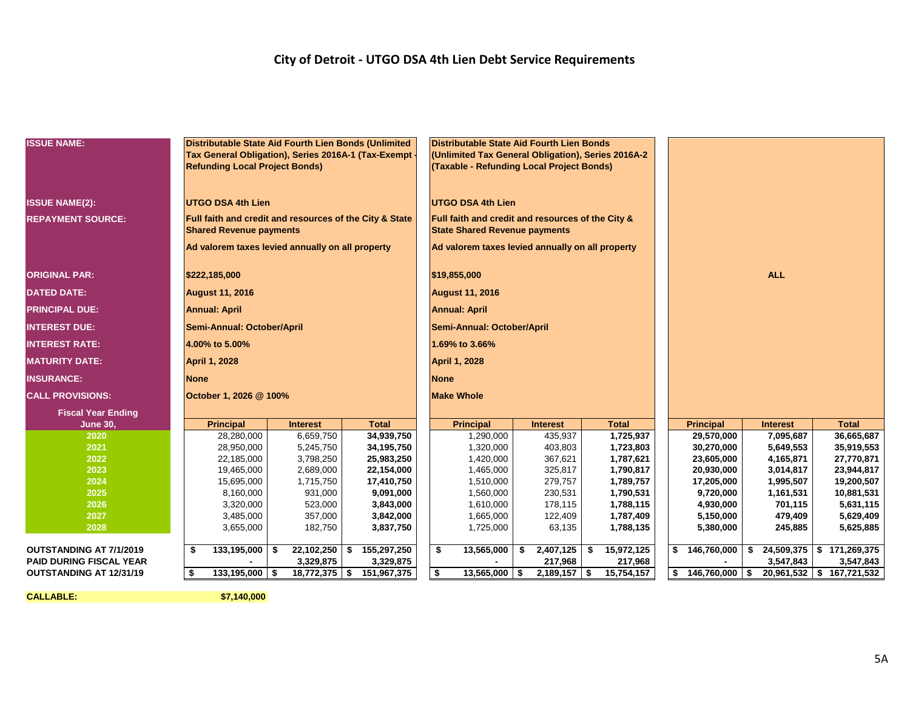#### **City of Detroit - UTGO DSA 4th Lien Debt Service Requirements**

| <b>ISSUE NAME:</b>             |             |                                                  | Distributable State Aid Fourth Lien Bonds (Unlimited                                      |                                                         | Distributable State Aid Fourth Lien Bonds          |    |                 |    |              |  |                    |                 |                              |  |  |
|--------------------------------|-------------|--------------------------------------------------|-------------------------------------------------------------------------------------------|---------------------------------------------------------|----------------------------------------------------|----|-----------------|----|--------------|--|--------------------|-----------------|------------------------------|--|--|
|                                |             |                                                  |                                                                                           | Tax General Obligation), Series 2016A-1 (Tax-Exempt     | (Unlimited Tax General Obligation), Series 2016A-2 |    |                 |    |              |  |                    |                 |                              |  |  |
|                                |             | <b>Refunding Local Project Bonds)</b>            |                                                                                           |                                                         | (Taxable - Refunding Local Project Bonds)          |    |                 |    |              |  |                    |                 |                              |  |  |
|                                |             |                                                  |                                                                                           |                                                         |                                                    |    |                 |    |              |  |                    |                 |                              |  |  |
| <b>ISSUE NAME(2):</b>          |             | <b>UTGO DSA 4th Lien</b>                         |                                                                                           |                                                         | <b>UTGO DSA 4th Lien</b>                           |    |                 |    |              |  |                    |                 |                              |  |  |
| <b>REPAYMENT SOURCE:</b>       |             |                                                  |                                                                                           | Full faith and credit and resources of the City & State |                                                    |    |                 |    |              |  |                    |                 |                              |  |  |
|                                |             | <b>Shared Revenue payments</b>                   | Full faith and credit and resources of the City &<br><b>State Shared Revenue payments</b> |                                                         |                                                    |    |                 |    |              |  |                    |                 |                              |  |  |
|                                |             | Ad valorem taxes levied annually on all property |                                                                                           | Ad valorem taxes levied annually on all property        |                                                    |    |                 |    |              |  |                    |                 |                              |  |  |
| <b>ORIGINAL PAR:</b>           |             | \$222,185,000                                    |                                                                                           | \$19,855,000                                            |                                                    |    |                 |    | <b>ALL</b>   |  |                    |                 |                              |  |  |
| <b>DATED DATE:</b>             |             | <b>August 11, 2016</b>                           |                                                                                           |                                                         | <b>August 11, 2016</b>                             |    |                 |    |              |  |                    |                 |                              |  |  |
| <b>PRINCIPAL DUE:</b>          |             | <b>Annual: April</b>                             |                                                                                           |                                                         | <b>Annual: April</b>                               |    |                 |    |              |  |                    |                 |                              |  |  |
| <b>INTEREST DUE:</b>           |             | Semi-Annual: October/April                       |                                                                                           |                                                         | Semi-Annual: October/April                         |    |                 |    |              |  |                    |                 |                              |  |  |
| <b>INTEREST RATE:</b>          |             | 4.00% to 5.00%                                   |                                                                                           |                                                         | 1.69% to 3.66%                                     |    |                 |    |              |  |                    |                 |                              |  |  |
| <b>MATURITY DATE:</b>          |             | <b>April 1, 2028</b>                             |                                                                                           |                                                         | <b>April 1, 2028</b>                               |    |                 |    |              |  |                    |                 |                              |  |  |
| <b>INSURANCE:</b>              | <b>None</b> |                                                  |                                                                                           |                                                         | <b>None</b>                                        |    |                 |    |              |  |                    |                 |                              |  |  |
| <b>CALL PROVISIONS:</b>        |             | October 1, 2026 @ 100%                           |                                                                                           |                                                         | <b>Make Whole</b>                                  |    |                 |    |              |  |                    |                 |                              |  |  |
| <b>Fiscal Year Ending</b>      |             |                                                  |                                                                                           |                                                         |                                                    |    |                 |    |              |  |                    |                 |                              |  |  |
| <b>June 30,</b>                |             | <b>Principal</b>                                 | <b>Interest</b>                                                                           | <b>Total</b>                                            | <b>Principal</b>                                   |    | <b>Interest</b> |    | <b>Total</b> |  | <b>Principal</b>   | <b>Interest</b> | <b>Total</b>                 |  |  |
| 2020                           |             | 28,280,000                                       | 6,659,750                                                                                 | 34,939,750                                              | 1,290,000                                          |    | 435,937         |    | 1,725,937    |  | 29,570,000         | 7,095,687       | 36,665,687                   |  |  |
| 2021                           |             | 28,950,000                                       | 5,245,750                                                                                 | 34,195,750                                              | 1,320,000                                          |    | 403,803         |    | 1,723,803    |  | 30,270,000         | 5,649,553       | 35,919,553                   |  |  |
| 2022                           |             | 22,185,000                                       | 3,798,250                                                                                 | 25,983,250                                              | 1,420,000                                          |    | 367,621         |    | 1,787,621    |  | 23,605,000         | 4,165,871       | 27,770,871                   |  |  |
| 2023                           |             | 19,465,000                                       | 2,689,000                                                                                 | 22,154,000                                              | 1,465,000                                          |    | 325,817         |    | 1,790,817    |  | 20,930,000         | 3,014,817       | 23,944,817                   |  |  |
| 2024                           |             | 15,695,000                                       | 1,715,750                                                                                 | 17,410,750                                              | 1,510,000                                          |    | 279,757         |    | 1,789,757    |  | 17,205,000         | 1,995,507       | 19,200,507                   |  |  |
| 2025                           |             | 8,160,000                                        | 931,000                                                                                   | 9,091,000                                               | 1,560,000                                          |    | 230,531         |    | 1,790,531    |  | 9,720,000          | 1,161,531       | 10,881,531                   |  |  |
| 2026                           |             | 3,320,000                                        | 523,000                                                                                   | 3,843,000                                               | 1,610,000                                          |    | 178,115         |    | 1,788,115    |  | 4,930,000          | 701,115         | 5,631,115                    |  |  |
| 2027                           |             | 3,485,000                                        | 357,000                                                                                   | 3,842,000                                               | 1,665,000                                          |    | 122,409         |    | 1,787,409    |  | 5,150,000          | 479,409         | 5,629,409                    |  |  |
| 2028                           |             | 3,655,000                                        | 182,750                                                                                   | 3,837,750                                               | 1,725,000                                          |    | 63,135          |    | 1,788,135    |  | 5,380,000          | 245,885         | 5,625,885                    |  |  |
| <b>OUTSTANDING AT 7/1/2019</b> | \$          | $133,195,000$ \$                                 | 22,102,250                                                                                | 155,297,250<br>\$                                       | \$<br>13,565,000                                   | \$ | 2,407,125       | \$ | 15,972,125   |  | \$146,760,000      |                 | $$24,509,375$ $$171,269,375$ |  |  |
| <b>PAID DURING FISCAL YEAR</b> |             |                                                  | 3,329,875                                                                                 | 3,329,875                                               |                                                    |    | 217,968         |    | 217,968      |  |                    | 3,547,843       | 3,547,843                    |  |  |
| OUTSTANDING AT 12/31/19        | \$          | $133,195,000$ \$                                 | $18,772,375$ \$                                                                           | 151,967,375                                             | \$<br>$13,565,000$ \$                              |    | $2,189,157$ \$  |    | 15,754,157   |  | $$146,760,000$ \\$ |                 | 20,961,532   \$ 167,721,532  |  |  |

**CALLABLE: \$7,140,000**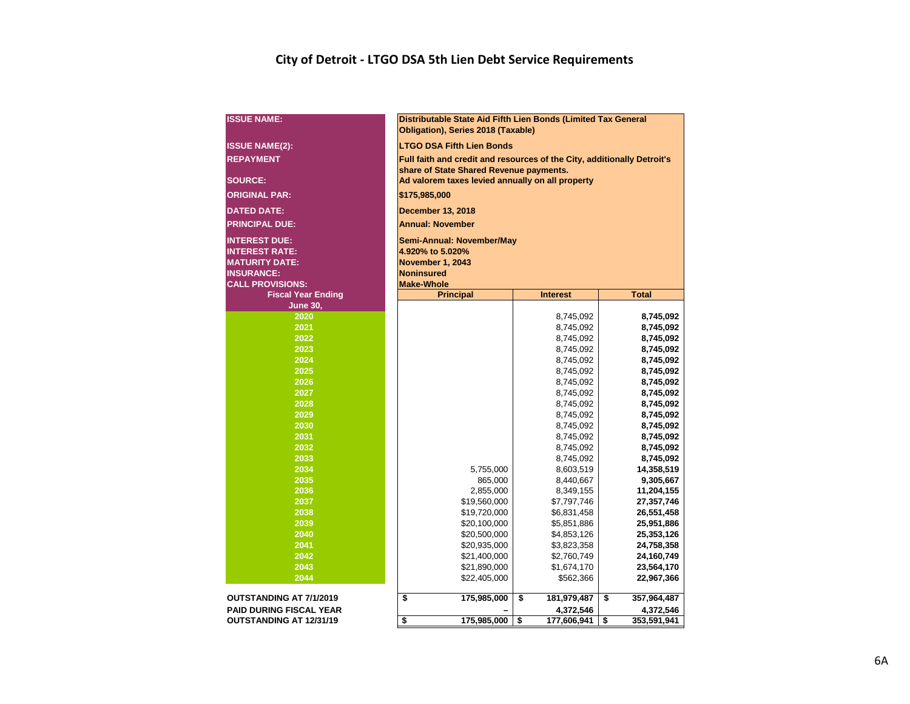#### **City of Detroit - LTGO DSA 5th Lien Debt Service Requirements**

| <b>ISSUE NAME:</b>             | Distributable State Aid Fifth Lien Bonds (Limited Tax General<br>Obligation), Series 2018 (Taxable)         |                            |                          |  |  |  |  |  |  |  |  |  |  |  |
|--------------------------------|-------------------------------------------------------------------------------------------------------------|----------------------------|--------------------------|--|--|--|--|--|--|--|--|--|--|--|
| <b>ISSUE NAME(2):</b>          | <b>LTGO DSA Fifth Lien Bonds</b><br>Full faith and credit and resources of the City, additionally Detroit's |                            |                          |  |  |  |  |  |  |  |  |  |  |  |
| <b>REPAYMENT</b>               |                                                                                                             |                            |                          |  |  |  |  |  |  |  |  |  |  |  |
|                                | share of State Shared Revenue payments.                                                                     |                            |                          |  |  |  |  |  |  |  |  |  |  |  |
| <b>SOURCE:</b>                 | Ad valorem taxes levied annually on all property                                                            |                            |                          |  |  |  |  |  |  |  |  |  |  |  |
| <b>ORIGINAL PAR:</b>           | \$175,985,000                                                                                               |                            |                          |  |  |  |  |  |  |  |  |  |  |  |
| <b>DATED DATE:</b>             | <b>December 13, 2018</b>                                                                                    |                            |                          |  |  |  |  |  |  |  |  |  |  |  |
| <b>PRINCIPAL DUE:</b>          | <b>Annual: November</b>                                                                                     |                            |                          |  |  |  |  |  |  |  |  |  |  |  |
| <b>INTEREST DUE:</b>           | Semi-Annual: November/May                                                                                   |                            |                          |  |  |  |  |  |  |  |  |  |  |  |
| <b>INTEREST RATE:</b>          | 4.920% to 5.020%                                                                                            |                            |                          |  |  |  |  |  |  |  |  |  |  |  |
| <b>MATURITY DATE:</b>          | November 1, 2043                                                                                            |                            |                          |  |  |  |  |  |  |  |  |  |  |  |
| <b>INSURANCE:</b>              | <b>Noninsured</b>                                                                                           |                            |                          |  |  |  |  |  |  |  |  |  |  |  |
| <b>CALL PROVISIONS:</b>        | <b>Make-Whole</b>                                                                                           |                            |                          |  |  |  |  |  |  |  |  |  |  |  |
| <b>Fiscal Year Ending</b>      | <b>Principal</b>                                                                                            | <b>Interest</b>            | <b>Total</b>             |  |  |  |  |  |  |  |  |  |  |  |
| <b>June 30,</b>                |                                                                                                             |                            |                          |  |  |  |  |  |  |  |  |  |  |  |
| 2020                           |                                                                                                             | 8,745,092                  | 8,745,092                |  |  |  |  |  |  |  |  |  |  |  |
| 2021                           |                                                                                                             | 8,745,092                  | 8,745,092                |  |  |  |  |  |  |  |  |  |  |  |
| 2022                           | 8,745,092<br>8,745,092                                                                                      |                            |                          |  |  |  |  |  |  |  |  |  |  |  |
| 2023                           | 8,745,092<br>8,745,092                                                                                      |                            |                          |  |  |  |  |  |  |  |  |  |  |  |
| 2024<br>2025                   |                                                                                                             | 8,745,092                  | 8,745,092                |  |  |  |  |  |  |  |  |  |  |  |
| 2026                           |                                                                                                             | 8,745,092<br>8,745,092     | 8,745,092<br>8,745,092   |  |  |  |  |  |  |  |  |  |  |  |
| 2027                           |                                                                                                             | 8,745,092                  | 8,745,092                |  |  |  |  |  |  |  |  |  |  |  |
| 2028                           |                                                                                                             | 8,745,092                  | 8,745,092                |  |  |  |  |  |  |  |  |  |  |  |
| 2029                           |                                                                                                             | 8,745,092                  | 8,745,092                |  |  |  |  |  |  |  |  |  |  |  |
| 2030                           |                                                                                                             | 8,745,092                  | 8,745,092                |  |  |  |  |  |  |  |  |  |  |  |
| 2031                           |                                                                                                             | 8,745,092                  | 8,745,092                |  |  |  |  |  |  |  |  |  |  |  |
| 2032                           |                                                                                                             | 8,745,092                  | 8,745,092                |  |  |  |  |  |  |  |  |  |  |  |
| 2033                           |                                                                                                             | 8,745,092                  | 8,745,092                |  |  |  |  |  |  |  |  |  |  |  |
| 2034                           | 5,755,000                                                                                                   | 8,603,519                  | 14,358,519               |  |  |  |  |  |  |  |  |  |  |  |
| 2035                           | 865,000                                                                                                     | 8,440,667                  | 9,305,667                |  |  |  |  |  |  |  |  |  |  |  |
| 2036                           | 2,855,000                                                                                                   | 8,349,155                  | 11,204,155               |  |  |  |  |  |  |  |  |  |  |  |
| 2037                           | \$19,560,000                                                                                                | \$7,797,746                | 27,357,746               |  |  |  |  |  |  |  |  |  |  |  |
| 2038                           | \$19,720,000                                                                                                | \$6,831,458                | 26,551,458               |  |  |  |  |  |  |  |  |  |  |  |
| 2039<br>2040                   | \$20,100,000                                                                                                | \$5,851,886                | 25,951,886               |  |  |  |  |  |  |  |  |  |  |  |
| 2041                           | \$20,500,000<br>\$20,935,000                                                                                | \$4,853,126<br>\$3,823,358 | 25,353,126<br>24,758,358 |  |  |  |  |  |  |  |  |  |  |  |
| 2042                           | \$21,400,000                                                                                                | \$2,760,749                | 24,160,749               |  |  |  |  |  |  |  |  |  |  |  |
| 2043                           | \$21,890,000<br>\$1,674,170<br>23,564,170                                                                   |                            |                          |  |  |  |  |  |  |  |  |  |  |  |
| 2044                           | \$22,405,000                                                                                                | \$562,366                  | 22,967,366               |  |  |  |  |  |  |  |  |  |  |  |
|                                |                                                                                                             |                            |                          |  |  |  |  |  |  |  |  |  |  |  |
| <b>OUTSTANDING AT 7/1/2019</b> | \$<br>175,985,000                                                                                           | \$<br>181,979,487          | \$<br>357,964,487        |  |  |  |  |  |  |  |  |  |  |  |
| <b>PAID DURING FISCAL YEAR</b> |                                                                                                             | 4,372,546                  | 4,372,546                |  |  |  |  |  |  |  |  |  |  |  |
| <b>OUTSTANDING AT 12/31/19</b> | 175,985,000<br>\$                                                                                           | \$<br>177,606,941          | \$<br>353,591,941        |  |  |  |  |  |  |  |  |  |  |  |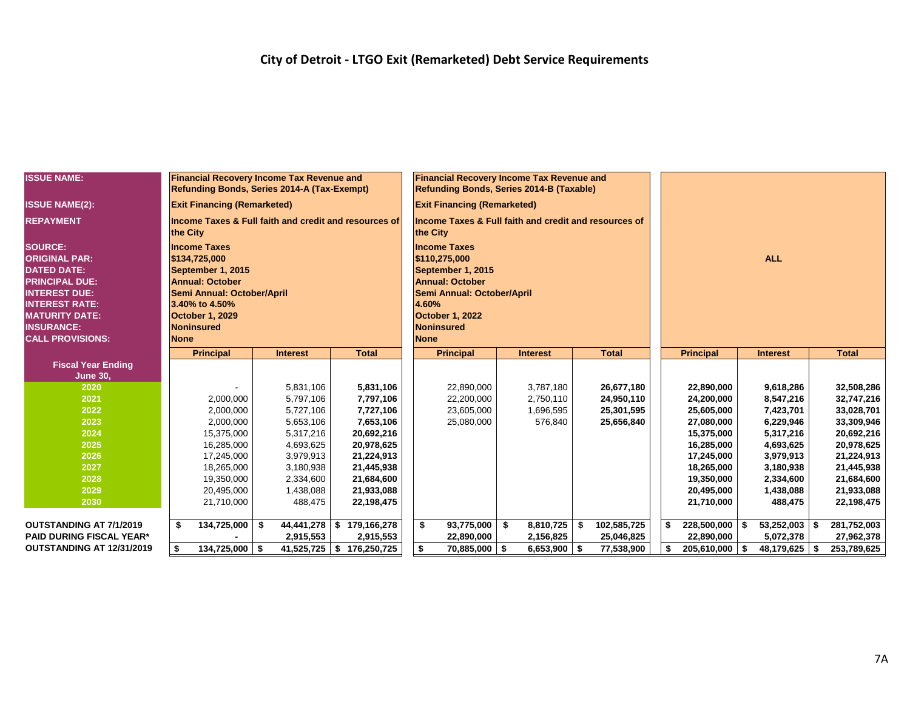| <b>ISSUE NAME:</b>               |               | <b>Financial Recovery Income Tax Revenue and</b><br>Refunding Bonds, Series 2014-A (Tax-Exempt) |      |                        |                                                       |    | <b>Financial Recovery Income Tax Revenue and</b><br>Refunding Bonds, Series 2014-B (Taxable) |                        |                          |            |                          |  |                        |     |                          |  |  |
|----------------------------------|---------------|-------------------------------------------------------------------------------------------------|------|------------------------|-------------------------------------------------------|----|----------------------------------------------------------------------------------------------|------------------------|--------------------------|------------|--------------------------|--|------------------------|-----|--------------------------|--|--|
| <b>ISSUE NAME(2):</b>            |               | <b>Exit Financing (Remarketed)</b>                                                              |      |                        |                                                       |    | <b>Exit Financing (Remarketed)</b>                                                           |                        |                          |            |                          |  |                        |     |                          |  |  |
| <b>REPAYMENT</b>                 | the City      |                                                                                                 |      |                        | Income Taxes & Full faith and credit and resources of |    | Income Taxes & Full faith and credit and resources of<br>the City                            |                        |                          |            |                          |  |                        |     |                          |  |  |
| <b>SOURCE:</b>                   |               | <b>Income Taxes</b>                                                                             |      |                        |                                                       |    | <b>Income Taxes</b>                                                                          |                        |                          |            |                          |  |                        |     |                          |  |  |
| <b>ORIGINAL PAR:</b>             | \$134,725,000 |                                                                                                 |      |                        |                                                       |    | \$110,275,000                                                                                |                        |                          | <b>ALL</b> |                          |  |                        |     |                          |  |  |
| <b>DATED DATE:</b>               |               | September 1, 2015                                                                               |      |                        |                                                       |    | September 1, 2015                                                                            |                        |                          |            |                          |  |                        |     |                          |  |  |
| <b>PRINCIPAL DUE:</b>            |               | <b>Annual: October</b>                                                                          |      |                        |                                                       |    | <b>Annual: October</b>                                                                       |                        |                          |            |                          |  |                        |     |                          |  |  |
| <b>INTEREST DUE:</b>             |               | Semi Annual: October/April                                                                      |      |                        |                                                       |    | Semi Annual: October/April                                                                   |                        |                          |            |                          |  |                        |     |                          |  |  |
| <b>INTEREST RATE:</b>            |               | 3.40% to 4.50%                                                                                  |      |                        |                                                       |    | 4.60%                                                                                        |                        |                          |            |                          |  |                        |     |                          |  |  |
| <b>MATURITY DATE:</b>            |               | <b>October 1, 2029</b>                                                                          |      |                        |                                                       |    | <b>October 1, 2022</b>                                                                       |                        |                          |            |                          |  |                        |     |                          |  |  |
| <b>INSURANCE:</b>                |               | <b>Noninsured</b>                                                                               |      |                        |                                                       |    | <b>Noninsured</b>                                                                            |                        |                          |            |                          |  |                        |     |                          |  |  |
| <b>CALL PROVISIONS:</b>          | <b>None</b>   |                                                                                                 |      |                        |                                                       |    | <b>None</b>                                                                                  |                        |                          |            |                          |  |                        |     |                          |  |  |
|                                  |               | <b>Principal</b>                                                                                |      | <b>Interest</b>        | <b>Total</b>                                          |    | <b>Principal</b>                                                                             | <b>Interest</b>        | <b>Total</b>             |            | <b>Principal</b>         |  | <b>Interest</b>        |     | <b>Total</b>             |  |  |
| <b>Fiscal Year Ending</b>        |               |                                                                                                 |      |                        |                                                       |    |                                                                                              |                        |                          |            |                          |  |                        |     |                          |  |  |
| <b>June 30,</b>                  |               |                                                                                                 |      |                        |                                                       |    |                                                                                              |                        |                          |            |                          |  |                        |     |                          |  |  |
| 2020<br>2021                     |               |                                                                                                 |      | 5.831.106<br>5.797.106 | 5,831,106                                             |    | 22,890,000                                                                                   | 3,787,180              | 26,677,180               |            | 22,890,000<br>24.200.000 |  | 9,618,286<br>8.547.216 |     | 32,508,286               |  |  |
| 2022                             |               | 2,000,000<br>2,000,000                                                                          |      | 5,727,106              | 7,797,106<br>7,727,106                                |    | 22,200,000<br>23,605,000                                                                     | 2,750,110<br>1,696,595 | 24,950,110<br>25,301,595 |            | 25,605,000               |  | 7,423,701              |     | 32,747,216<br>33,028,701 |  |  |
| 2023                             |               | 2,000,000                                                                                       |      | 5,653,106              | 7,653,106                                             |    | 25,080,000                                                                                   | 576,840                | 25,656,840               |            | 27,080,000               |  | 6,229,946              |     | 33,309,946               |  |  |
| 2024                             |               | 15,375,000                                                                                      |      | 5,317,216              | 20,692,216                                            |    |                                                                                              |                        |                          |            | 15,375,000               |  | 5,317,216              |     | 20,692,216               |  |  |
| 2025                             |               | 16,285,000                                                                                      |      | 4,693,625              | 20,978,625                                            |    |                                                                                              |                        |                          |            | 16,285,000               |  | 4,693,625              |     | 20,978,625               |  |  |
| 2026                             |               | 17,245,000                                                                                      |      | 3,979,913              | 21,224,913                                            |    |                                                                                              |                        |                          |            | 17,245,000               |  | 3,979,913              |     | 21,224,913               |  |  |
| 2027                             |               | 18,265,000                                                                                      |      | 3,180,938              | 21,445,938                                            |    |                                                                                              |                        |                          |            | 18,265,000               |  | 3,180,938              |     | 21,445,938               |  |  |
| 2028                             |               | 19,350,000                                                                                      |      | 2,334,600              | 21,684,600                                            |    |                                                                                              |                        |                          |            | 19,350,000               |  | 2,334,600              |     | 21,684,600               |  |  |
| 2029                             |               | 20,495,000                                                                                      |      | 1,438,088              | 21,933,088                                            |    |                                                                                              |                        |                          |            | 20,495,000               |  | 1,438,088              |     | 21,933,088               |  |  |
| 2030                             |               | 21,710,000                                                                                      |      | 488,475                | 22,198,475                                            |    |                                                                                              |                        |                          |            | 21,710,000               |  | 488,475                |     | 22,198,475               |  |  |
|                                  |               |                                                                                                 |      |                        |                                                       |    |                                                                                              |                        |                          |            |                          |  |                        |     |                          |  |  |
| <b>OUTSTANDING AT 7/1/2019</b>   | \$            | 134,725,000                                                                                     | ∣\$  | 44,441,278             | $\frac{1}{2}$ \$ 179,166,278                          | \$ | $93,775,000$ \$                                                                              | 8,810,725              | \$<br>102,585,725        | ∣ SS       | $228,500,000$ \$         |  | $53,252,003$ \$        |     | 281,752,003              |  |  |
| <b>PAID DURING FISCAL YEAR*</b>  |               |                                                                                                 |      | 2,915,553              | 2,915,553                                             |    | 22,890,000                                                                                   | 2,156,825              | 25,046,825               |            | 22,890,000               |  | 5,072,378              |     | 27,962,378               |  |  |
| <b>OUTSTANDING AT 12/31/2019</b> | \$            | 134,725,000                                                                                     | - \$ | 41,525,725             | \$176,250,725                                         | \$ | 70,885,000 \$                                                                                | 6,653,900              | \$<br>77,538,900         |            | $205,610,000$ \$         |  | 48,179,625             | -\$ | 253,789,625              |  |  |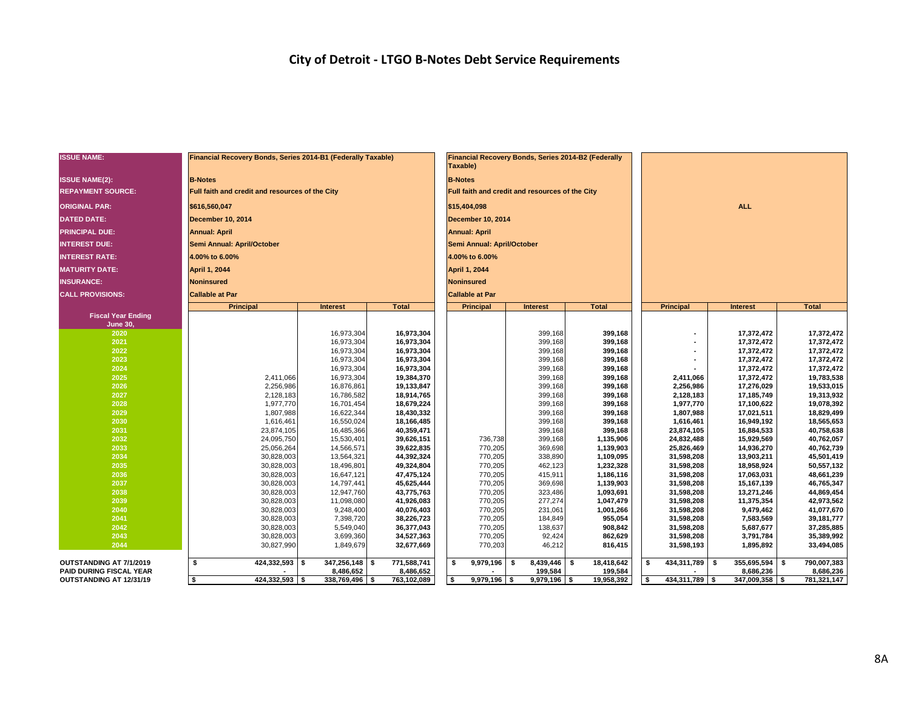#### **City of Detroit - LTGO B-Notes Debt Service Requirements**

| <b>ISSUE NAME:</b>        | Financial Recovery Bonds, Series 2014-B1 (Federally Taxable) |                          |                          | Taxable)                                 | Financial Recovery Bonds, Series 2014-B2 (Federally |                        |                          |                          |                          |  |  |  |  |  |
|---------------------------|--------------------------------------------------------------|--------------------------|--------------------------|------------------------------------------|-----------------------------------------------------|------------------------|--------------------------|--------------------------|--------------------------|--|--|--|--|--|
| <b>ISSUE NAME(2):</b>     | <b>B-Notes</b>                                               |                          |                          | <b>B-Notes</b>                           |                                                     |                        |                          |                          |                          |  |  |  |  |  |
| <b>REPAYMENT SOURCE:</b>  | Full faith and credit and resources of the City              |                          |                          |                                          | Full faith and credit and resources of the City     |                        |                          |                          |                          |  |  |  |  |  |
| <b>ORIGINAL PAR:</b>      | \$616,560,047                                                |                          |                          | <b>ALL</b>                               |                                                     |                        |                          |                          |                          |  |  |  |  |  |
| <b>DATED DATE:</b>        | December 10, 2014                                            |                          |                          | \$15,404,098<br><b>December 10, 2014</b> |                                                     |                        |                          |                          |                          |  |  |  |  |  |
|                           |                                                              |                          |                          |                                          |                                                     |                        |                          |                          |                          |  |  |  |  |  |
| <b>PRINCIPAL DUE:</b>     | <b>Annual: April</b>                                         |                          |                          | <b>Annual: April</b>                     |                                                     |                        |                          |                          |                          |  |  |  |  |  |
| <b>INTEREST DUE:</b>      | Semi Annual: April/October                                   |                          |                          | Semi Annual: April/October               |                                                     |                        |                          |                          |                          |  |  |  |  |  |
| <b>INTEREST RATE:</b>     | 4.00% to 6.00%                                               |                          |                          | 4.00% to 6.00%                           |                                                     |                        |                          |                          |                          |  |  |  |  |  |
| <b>MATURITY DATE:</b>     | <b>April 1, 2044</b>                                         |                          |                          | April 1, 2044                            |                                                     |                        |                          |                          |                          |  |  |  |  |  |
| <b>INSURANCE:</b>         | <b>Noninsured</b>                                            |                          |                          | <b>Noninsured</b>                        |                                                     |                        |                          |                          |                          |  |  |  |  |  |
| <b>CALL PROVISIONS:</b>   | <b>Callable at Par</b>                                       |                          |                          | <b>Callable at Par</b>                   |                                                     |                        |                          |                          |                          |  |  |  |  |  |
|                           | Principal                                                    | <b>Interest</b>          | <b>Total</b>             | <b>Principal</b>                         | <b>Interest</b>                                     | <b>Total</b>           | Principal                | <b>Interest</b>          | <b>Total</b>             |  |  |  |  |  |
| <b>Fiscal Year Ending</b> |                                                              |                          |                          |                                          |                                                     |                        |                          |                          |                          |  |  |  |  |  |
| June 30,<br>2020          |                                                              | 16,973,304               | 16,973,304               |                                          | 399,168                                             | 399,168                | $\blacksquare$           | 17,372,472               | 17,372,472               |  |  |  |  |  |
| 2021                      |                                                              | 16,973,304               | 16,973,304               |                                          | 399,168                                             | 399,168                |                          | 17,372,472               | 17,372,472               |  |  |  |  |  |
| 2022                      |                                                              | 16,973,304               | 16,973,304               |                                          | 399,168                                             | 399,168                |                          | 17,372,472               | 17,372,472               |  |  |  |  |  |
| 2023                      |                                                              | 16,973,304               | 16,973,304               |                                          | 399,168                                             | 399,168                |                          | 17,372,472               | 17,372,472               |  |  |  |  |  |
| 2024                      |                                                              | 16,973,304               | 16,973,304               |                                          | 399,168                                             | 399,168                |                          | 17,372,472               | 17,372,472               |  |  |  |  |  |
| 2025                      | 2,411,066                                                    | 16,973,304               | 19,384,370               |                                          | 399,168                                             | 399,168                | 2,411,066                | 17,372,472               | 19,783,538<br>19,533,015 |  |  |  |  |  |
| 2026                      | 2,256,986                                                    | 16,876,861               | 19,133,847               |                                          | 399,168                                             | 399,168                | 2,256,986                | 17,276,029<br>17,185,749 |                          |  |  |  |  |  |
| 2027                      | 2,128,183                                                    | 16,786,582               | 18,914,765               |                                          | 399,168                                             | 399,168                | 2,128,183                | 19,313,932               |                          |  |  |  |  |  |
| 2028<br>2029              | 1,977,770<br>1,807,988                                       | 16,701,454<br>16,622,344 | 18,679,224<br>18,430,332 |                                          | 399,168<br>399,168                                  | 399,168<br>399,168     | 1,977,770<br>1,807,988   | 17,100,622<br>17,021,511 | 19,078,392<br>18,829,499 |  |  |  |  |  |
| 2030                      | 1,616,461                                                    | 16,550,024               | 18,166,485               |                                          | 399,168                                             | 399,168                | 1,616,461                | 16,949,192               | 18,565,653               |  |  |  |  |  |
| 2031                      | 23,874,105                                                   | 16,485,366               | 40,359,471               |                                          | 399,168                                             | 399,168                | 23,874,105               | 16,884,533               | 40,758,638               |  |  |  |  |  |
| 2032                      | 24,095,750                                                   | 15,530,401               | 39,626,151               | 736,738                                  | 399,168                                             | 1,135,906              | 24,832,488               | 15,929,569               | 40,762,057               |  |  |  |  |  |
| 2033                      | 25,056,264                                                   | 14,566,571               | 39,622,835               | 770,205                                  | 369,698                                             | 1,139,903              | 25,826,469               | 14,936,270               | 40,762,739               |  |  |  |  |  |
| 2034                      | 30,828,003                                                   | 13,564,321               | 44,392,324               | 770,205                                  | 338,890                                             | 1,109,095              | 31,598,208               | 13,903,211               | 45,501,419               |  |  |  |  |  |
| 2035                      | 30,828,003                                                   | 18,496,801               | 49,324,804               | 770,205                                  | 462,123                                             | 1,232,328              | 31,598,208               | 18,958,924               | 50,557,132               |  |  |  |  |  |
| 2036                      | 30,828,003                                                   | 16,647,121               | 47,475,124               | 770,205                                  | 415,911                                             | 1,186,116              | 31,598,208               | 17,063,031               | 48,661,239               |  |  |  |  |  |
| 2037                      | 30,828,003                                                   | 14,797,441               | 45,625,444               | 770,205                                  | 369,698                                             | 1,139,903              | 31,598,208               | 15,167,139               | 46,765,347               |  |  |  |  |  |
| 2038<br>2039              | 30,828,003<br>30,828,003                                     | 12,947,760<br>11,098,080 | 43,775,763<br>41,926,083 | 770,205<br>770,205                       | 323,486<br>277,274                                  | 1,093,691<br>1,047,479 | 31,598,208<br>31,598,208 | 13,271,246<br>11,375,354 | 44,869,454<br>42,973,562 |  |  |  |  |  |
| 2040                      | 30,828,003                                                   | 9,248,400                | 40,076,403               | 770,205                                  | 231,061                                             | 1,001,266              | 31,598,208               | 9,479,462                | 41,077,670               |  |  |  |  |  |
| 2041                      | 30,828,003                                                   | 7,398,720                | 38,226,723               | 770,205                                  | 184,849                                             | 955,054                | 31,598,208               | 7,583,569                | 39, 181, 777             |  |  |  |  |  |
| 2042                      | 30,828,003                                                   | 5,549,040                | 36,377,043               | 770,205                                  | 138,637                                             | 908,842                | 31,598,208               | 5,687,677                | 37,285,885               |  |  |  |  |  |
| 2043                      | 30,828,003                                                   | 3,699,360                | 34,527,363               | 770,205                                  | 92,424                                              | 3,791,784              | 35,389,992               |                          |                          |  |  |  |  |  |
| 2044                      | 30,827,990                                                   | 1,849,679                | 32,677,669               | 770,203                                  | 46,212                                              | 862,629<br>816,415     | 31,598,208<br>31,598,193 | 1,895,892                | 33,494,085               |  |  |  |  |  |
| OUTSTANDING AT 7/1/2019   | 424,332,593 \$<br>\$                                         | $347,256,148$ \$         | 771,588,741              | 9,979,196<br>s.                          | $8,439,446$ \$<br>- \$                              | 18,418,642             | 434,311,789 \$<br>\$     | $355,695,594$ \$         | 790,007,383              |  |  |  |  |  |
| PAID DURING FISCAL YEAR   |                                                              | 8,486,652                | 8,486,652                |                                          | 199,584                                             | 199,584                |                          | 8,686,236                | 8,686,236                |  |  |  |  |  |
| OUTSTANDING AT 12/31/19   | $424,332,593$ \$<br>l \$                                     | $338,769,496$ \$         | 763,102,089              | 5 ا<br>$9,979,196$ \$                    | $9,979,196$ \$                                      | 19,958,392             | 434,311,789 \$<br>- \$   | $347,009,358$ \$         | 781,321,147              |  |  |  |  |  |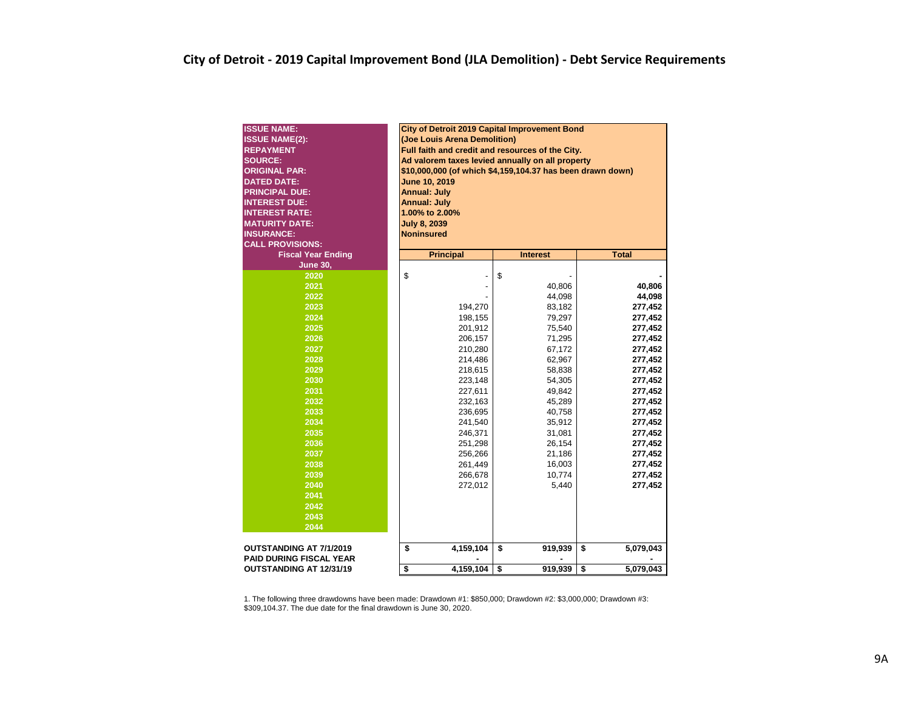| <b>ISSUE NAME:</b>                                        | City of Detroit 2019 Capital Improvement Bond                                                                  |                                                  |    |         |    |           |  |  |  |  |  |  |  |  |  |
|-----------------------------------------------------------|----------------------------------------------------------------------------------------------------------------|--------------------------------------------------|----|---------|----|-----------|--|--|--|--|--|--|--|--|--|
| <b>ISSUE NAME(2):</b>                                     | (Joe Louis Arena Demolition)                                                                                   |                                                  |    |         |    |           |  |  |  |  |  |  |  |  |  |
| <b>REPAYMENT</b>                                          |                                                                                                                | Full faith and credit and resources of the City. |    |         |    |           |  |  |  |  |  |  |  |  |  |
| <b>SOURCE:</b>                                            | Ad valorem taxes levied annually on all property<br>\$10,000,000 (of which \$4,159,104.37 has been drawn down) |                                                  |    |         |    |           |  |  |  |  |  |  |  |  |  |
| <b>ORIGINAL PAR:</b>                                      | June 10, 2019                                                                                                  |                                                  |    |         |    |           |  |  |  |  |  |  |  |  |  |
| <b>DATED DATE:</b>                                        | <b>Annual: July</b>                                                                                            |                                                  |    |         |    |           |  |  |  |  |  |  |  |  |  |
| <b>PRINCIPAL DUE:</b>                                     |                                                                                                                |                                                  |    |         |    |           |  |  |  |  |  |  |  |  |  |
| <b>INTEREST DUE:</b>                                      | <b>Annual: July</b>                                                                                            |                                                  |    |         |    |           |  |  |  |  |  |  |  |  |  |
| <b>INTEREST RATE:</b>                                     | 1.00% to 2.00%                                                                                                 |                                                  |    |         |    |           |  |  |  |  |  |  |  |  |  |
| <b>MATURITY DATE:</b>                                     | <b>July 8, 2039</b>                                                                                            |                                                  |    |         |    |           |  |  |  |  |  |  |  |  |  |
| <b>INSURANCE:</b>                                         | <b>Noninsured</b>                                                                                              |                                                  |    |         |    |           |  |  |  |  |  |  |  |  |  |
| <b>CALL PROVISIONS:</b>                                   |                                                                                                                |                                                  |    |         |    |           |  |  |  |  |  |  |  |  |  |
| <b>Fiscal Year Ending</b>                                 | <b>Total</b><br><b>Principal</b><br><b>Interest</b>                                                            |                                                  |    |         |    |           |  |  |  |  |  |  |  |  |  |
| <b>June 30,</b>                                           |                                                                                                                |                                                  |    |         |    |           |  |  |  |  |  |  |  |  |  |
| 2020                                                      | \$<br>\$                                                                                                       |                                                  |    |         |    |           |  |  |  |  |  |  |  |  |  |
| 2021                                                      | 40,806<br>40,806                                                                                               |                                                  |    |         |    |           |  |  |  |  |  |  |  |  |  |
| 2022                                                      | 44,098<br>44,098                                                                                               |                                                  |    |         |    |           |  |  |  |  |  |  |  |  |  |
| 2023                                                      | 277,452<br>194,270<br>83,182                                                                                   |                                                  |    |         |    |           |  |  |  |  |  |  |  |  |  |
| 2024                                                      | 277,452<br>198,155<br>79,297                                                                                   |                                                  |    |         |    |           |  |  |  |  |  |  |  |  |  |
| 2025                                                      | 201,912<br>75,540<br>277,452                                                                                   |                                                  |    |         |    |           |  |  |  |  |  |  |  |  |  |
| 2026                                                      | 71,295<br>277,452<br>206,157                                                                                   |                                                  |    |         |    |           |  |  |  |  |  |  |  |  |  |
| 2027                                                      |                                                                                                                | 210,280<br>67,172<br>277,452                     |    |         |    |           |  |  |  |  |  |  |  |  |  |
| 2028                                                      |                                                                                                                | 214,486                                          |    | 62,967  |    | 277,452   |  |  |  |  |  |  |  |  |  |
| 2029                                                      |                                                                                                                | 218,615                                          |    | 58,838  |    | 277,452   |  |  |  |  |  |  |  |  |  |
| 2030                                                      |                                                                                                                | 223,148                                          |    | 54,305  |    | 277,452   |  |  |  |  |  |  |  |  |  |
| 2031                                                      |                                                                                                                | 227,611                                          |    | 49,842  |    | 277,452   |  |  |  |  |  |  |  |  |  |
| 2032                                                      |                                                                                                                | 232,163                                          |    | 45,289  |    | 277,452   |  |  |  |  |  |  |  |  |  |
| 2033                                                      |                                                                                                                | 236,695                                          |    | 40,758  |    | 277,452   |  |  |  |  |  |  |  |  |  |
| 2034                                                      |                                                                                                                | 241,540                                          |    | 35,912  |    | 277,452   |  |  |  |  |  |  |  |  |  |
| 2035                                                      |                                                                                                                | 246,371                                          |    | 31,081  |    | 277,452   |  |  |  |  |  |  |  |  |  |
| 2036                                                      |                                                                                                                | 251,298                                          |    | 26,154  |    | 277,452   |  |  |  |  |  |  |  |  |  |
| 2037                                                      |                                                                                                                | 256,266                                          |    | 21,186  |    | 277,452   |  |  |  |  |  |  |  |  |  |
| 2038                                                      |                                                                                                                | 261,449                                          |    | 16,003  |    | 277,452   |  |  |  |  |  |  |  |  |  |
| 2039                                                      |                                                                                                                | 266,678                                          |    | 10,774  |    | 277,452   |  |  |  |  |  |  |  |  |  |
| 2040                                                      |                                                                                                                | 272,012                                          |    | 5,440   |    | 277,452   |  |  |  |  |  |  |  |  |  |
| 2041                                                      |                                                                                                                |                                                  |    |         |    |           |  |  |  |  |  |  |  |  |  |
| 2042                                                      |                                                                                                                |                                                  |    |         |    |           |  |  |  |  |  |  |  |  |  |
| 2043                                                      |                                                                                                                |                                                  |    |         |    |           |  |  |  |  |  |  |  |  |  |
| 2044                                                      |                                                                                                                |                                                  |    |         |    |           |  |  |  |  |  |  |  |  |  |
| OUTSTANDING AT 7/1/2019<br><b>PAID DURING FISCAL YEAR</b> | 4,159,104<br>\$<br>5,079,043<br>\$<br>\$<br>919,939                                                            |                                                  |    |         |    |           |  |  |  |  |  |  |  |  |  |
|                                                           |                                                                                                                |                                                  | \$ |         | \$ | 5,079,043 |  |  |  |  |  |  |  |  |  |
| <b>OUTSTANDING AT 12/31/19</b>                            | \$                                                                                                             | 4,159,104                                        |    | 919,939 |    |           |  |  |  |  |  |  |  |  |  |

1. The following three drawdowns have been made: Drawdown #1: \$850,000; Drawdown #2: \$3,000,000; Drawdown #3: \$309,104.37. The due date for the final drawdown is June 30, 2020.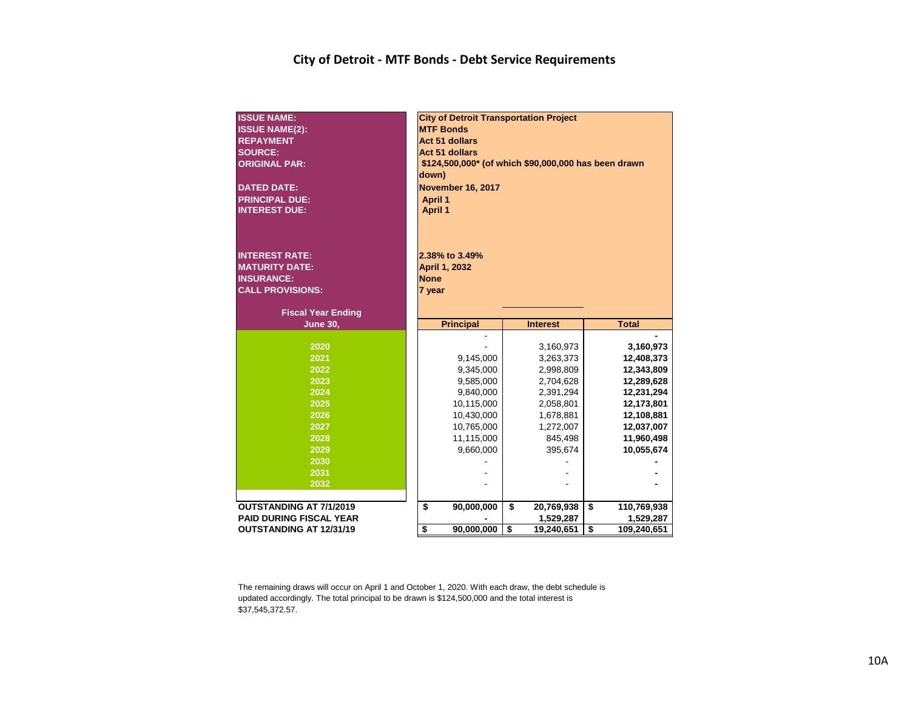#### **City of Detroit - MTF Bonds - Debt Service Requirements**

| <b>ISSUE NAME:</b><br><b>ISSUE NAME(2):</b><br><b>REPAYMENT</b><br><b>SOURCE:</b><br><b>ORIGINAL PAR:</b><br><b>DATED DATE:</b> | <b>City of Detroit Transportation Project</b><br><b>MTF Bonds</b><br><b>Act 51 dollars</b><br><b>Act 51 dollars</b><br>\$124,500,000* (of which \$90,000,000 has been drawn<br>down)<br><b>November 16, 2017</b> |                        |    |                        |    |                          |  |  |  |  |  |  |
|---------------------------------------------------------------------------------------------------------------------------------|------------------------------------------------------------------------------------------------------------------------------------------------------------------------------------------------------------------|------------------------|----|------------------------|----|--------------------------|--|--|--|--|--|--|
| <b>PRINCIPAL DUE:</b><br><b>INTEREST DUE:</b>                                                                                   | <b>April 1</b><br><b>April 1</b>                                                                                                                                                                                 |                        |    |                        |    |                          |  |  |  |  |  |  |
| <b>INTEREST RATE:</b>                                                                                                           |                                                                                                                                                                                                                  | 2.38% to 3.49%         |    |                        |    |                          |  |  |  |  |  |  |
| <b>MATURITY DATE:</b>                                                                                                           |                                                                                                                                                                                                                  | <b>April 1, 2032</b>   |    |                        |    |                          |  |  |  |  |  |  |
| <b>INSURANCE:</b><br><b>CALL PROVISIONS:</b>                                                                                    | <b>None</b><br>7 year                                                                                                                                                                                            |                        |    |                        |    |                          |  |  |  |  |  |  |
|                                                                                                                                 |                                                                                                                                                                                                                  |                        |    |                        |    |                          |  |  |  |  |  |  |
| <b>Fiscal Year Ending</b>                                                                                                       |                                                                                                                                                                                                                  |                        |    |                        |    |                          |  |  |  |  |  |  |
| <b>June 30,</b>                                                                                                                 |                                                                                                                                                                                                                  | <b>Principal</b>       |    | <b>Interest</b>        |    | <b>Total</b>             |  |  |  |  |  |  |
|                                                                                                                                 |                                                                                                                                                                                                                  |                        |    |                        |    |                          |  |  |  |  |  |  |
| 2020                                                                                                                            |                                                                                                                                                                                                                  |                        |    | 3,160,973              |    | 3,160,973                |  |  |  |  |  |  |
| 2021<br>2022                                                                                                                    |                                                                                                                                                                                                                  | 9,145,000              |    | 3,263,373              |    | 12,408,373               |  |  |  |  |  |  |
| 2023                                                                                                                            |                                                                                                                                                                                                                  | 9,345,000<br>9,585,000 |    | 2,998,809<br>2,704,628 |    | 12,343,809<br>12,289,628 |  |  |  |  |  |  |
| 2024                                                                                                                            |                                                                                                                                                                                                                  | 9,840,000              |    | 2,391,294              |    | 12,231,294               |  |  |  |  |  |  |
| 2025                                                                                                                            |                                                                                                                                                                                                                  | 10,115,000             |    | 2,058,801              |    | 12,173,801               |  |  |  |  |  |  |
| 2026                                                                                                                            |                                                                                                                                                                                                                  | 10,430,000             |    | 1,678,881              |    | 12,108,881               |  |  |  |  |  |  |
| 2027                                                                                                                            |                                                                                                                                                                                                                  | 10,765,000             |    | 1,272,007              |    | 12,037,007               |  |  |  |  |  |  |
| 2028                                                                                                                            |                                                                                                                                                                                                                  | 11,115,000             |    | 845,498                |    | 11,960,498               |  |  |  |  |  |  |
| 2029                                                                                                                            |                                                                                                                                                                                                                  | 9,660,000              |    | 395,674                |    | 10,055,674               |  |  |  |  |  |  |
| 2030                                                                                                                            |                                                                                                                                                                                                                  |                        |    |                        |    |                          |  |  |  |  |  |  |
| 2031                                                                                                                            |                                                                                                                                                                                                                  |                        |    |                        |    |                          |  |  |  |  |  |  |
| 2032                                                                                                                            |                                                                                                                                                                                                                  |                        |    |                        |    |                          |  |  |  |  |  |  |
|                                                                                                                                 |                                                                                                                                                                                                                  |                        |    |                        |    |                          |  |  |  |  |  |  |
| <b>OUTSTANDING AT 7/1/2019</b>                                                                                                  | \$                                                                                                                                                                                                               | 90,000,000             | \$ | 20,769,938             | \$ | 110,769,938              |  |  |  |  |  |  |
| <b>PAID DURING FISCAL YEAR</b>                                                                                                  | \$                                                                                                                                                                                                               | 90,000,000             | \$ | 1,529,287              | \$ | 1,529,287                |  |  |  |  |  |  |
| <b>OUTSTANDING AT 12/31/19</b>                                                                                                  |                                                                                                                                                                                                                  |                        |    | 19,240,651             |    | 109,240,651              |  |  |  |  |  |  |

The remaining draws will occur on April 1 and October 1, 2020. With each draw, the debt schedule is updated accordingly. The total principal to be drawn is \$124,500,000 and the total interest is \$37,545,372.57.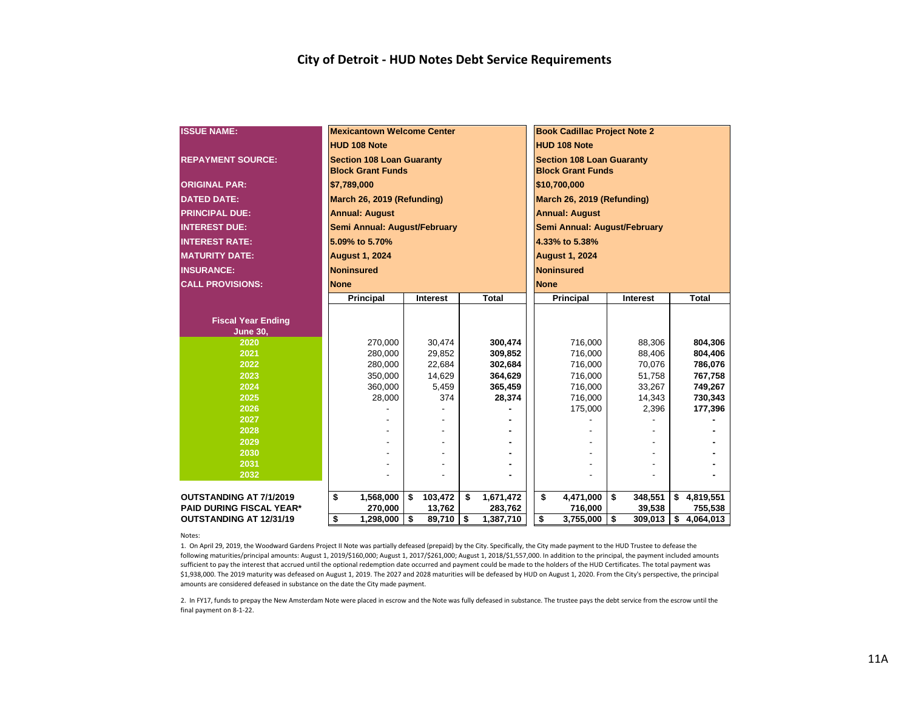| <b>ISSUE NAME:</b>              |             | <b>Mexicantown Welcome Center</b>                            |                  |                    |                                                              | <b>Book Cadillac Project Note 2</b> |    |                  |    |                    |  |  |  |
|---------------------------------|-------------|--------------------------------------------------------------|------------------|--------------------|--------------------------------------------------------------|-------------------------------------|----|------------------|----|--------------------|--|--|--|
|                                 |             | <b>HUD 108 Note</b>                                          |                  |                    |                                                              | <b>HUD 108 Note</b>                 |    |                  |    |                    |  |  |  |
| <b>REPAYMENT SOURCE:</b>        |             | <b>Section 108 Loan Guaranty</b><br><b>Block Grant Funds</b> |                  |                    | <b>Section 108 Loan Guaranty</b><br><b>Block Grant Funds</b> |                                     |    |                  |    |                    |  |  |  |
| <b>ORIGINAL PAR:</b>            |             | \$7,789,000                                                  |                  |                    | \$10,700,000                                                 |                                     |    |                  |    |                    |  |  |  |
| <b>DATED DATE:</b>              |             | March 26, 2019 (Refunding)                                   |                  |                    | March 26, 2019 (Refunding)                                   |                                     |    |                  |    |                    |  |  |  |
| <b>PRINCIPAL DUE:</b>           |             | <b>Annual: August</b>                                        |                  |                    | <b>Annual: August</b>                                        |                                     |    |                  |    |                    |  |  |  |
| <b>INTEREST DUE:</b>            |             | Semi Annual: August/February                                 |                  |                    |                                                              | Semi Annual: August/February        |    |                  |    |                    |  |  |  |
| <b>INTEREST RATE:</b>           |             | 5.09% to 5.70%                                               |                  |                    |                                                              | 4.33% to 5.38%                      |    |                  |    |                    |  |  |  |
| <b>MATURITY DATE:</b>           |             | <b>August 1, 2024</b>                                        |                  |                    |                                                              | <b>August 1, 2024</b>               |    |                  |    |                    |  |  |  |
| <b>INSURANCE:</b>               |             | <b>Noninsured</b>                                            |                  |                    |                                                              | <b>Noninsured</b>                   |    |                  |    |                    |  |  |  |
| <b>CALL PROVISIONS:</b>         | <b>None</b> |                                                              |                  |                    |                                                              | <b>None</b>                         |    |                  |    |                    |  |  |  |
|                                 |             | <b>Principal</b>                                             | Interest         | Total              |                                                              | Principal                           |    | Interest         |    | <b>Total</b>       |  |  |  |
|                                 |             |                                                              |                  |                    |                                                              |                                     |    |                  |    |                    |  |  |  |
| <b>Fiscal Year Ending</b>       |             |                                                              |                  |                    |                                                              |                                     |    |                  |    |                    |  |  |  |
| <b>June 30,</b>                 |             |                                                              |                  |                    |                                                              |                                     |    |                  |    |                    |  |  |  |
| 2020<br>2021                    |             | 270,000                                                      | 30,474           | 300,474            |                                                              | 716,000                             |    | 88,306           |    | 804,306            |  |  |  |
| 2022                            |             | 280,000<br>280,000                                           | 29,852<br>22,684 | 309,852<br>302,684 |                                                              | 716,000<br>716,000                  |    | 88,406<br>70,076 |    | 804,406<br>786,076 |  |  |  |
| 2023                            |             | 350,000                                                      | 14,629           | 364,629            |                                                              | 716,000                             |    | 51,758           |    | 767,758            |  |  |  |
| 2024                            |             | 360,000                                                      | 5,459            | 365,459            |                                                              | 716,000                             |    | 33,267           |    | 749,267            |  |  |  |
| 2025                            |             | 28.000                                                       | 374              | 28.374             |                                                              | 716,000                             |    | 14,343           |    | 730,343            |  |  |  |
| 2026                            |             |                                                              |                  |                    |                                                              | 175,000                             |    | 2,396            |    | 177,396            |  |  |  |
| 2027                            |             |                                                              |                  |                    |                                                              |                                     |    |                  |    |                    |  |  |  |
| 2028                            |             |                                                              |                  |                    |                                                              |                                     |    |                  |    |                    |  |  |  |
| 2029                            |             |                                                              |                  |                    |                                                              |                                     |    |                  |    |                    |  |  |  |
| 2030                            |             |                                                              |                  |                    |                                                              |                                     |    |                  |    |                    |  |  |  |
| 2031                            |             |                                                              |                  |                    |                                                              |                                     |    |                  |    |                    |  |  |  |
| 2032                            |             |                                                              |                  |                    |                                                              |                                     |    |                  |    |                    |  |  |  |
| <b>OUTSTANDING AT 7/1/2019</b>  | \$          | 1,568,000                                                    | \$<br>103,472    | \$<br>1,671,472    |                                                              | \$<br>4,471,000                     | \$ | 348,551          | \$ | 4,819,551          |  |  |  |
| <b>PAID DURING FISCAL YEAR*</b> |             | 270,000                                                      | 13,762           | 283,762            |                                                              | 716,000                             |    | 39,538           |    | 755,538            |  |  |  |
| <b>OUTSTANDING AT 12/31/19</b>  | \$          | 1,298,000                                                    | \$<br>89,710     | \$<br>1,387,710    |                                                              | \$<br>3,755,000                     | \$ | 309,013          | \$ | 4,064,013          |  |  |  |

Notes:

1. On April 29, 2019, the Woodward Gardens Project II Note was partially defeased (prepaid) by the City. Specifically, the City made payment to the HUD Trustee to defease the following maturities/principal amounts: August 1, 2019/\$160,000; August 1, 2017/\$261,000; August 1, 2018/\$1,557,000. In addition to the principal, the payment included amounts sufficient to pay the interest that accrued until the optional redemption date occurred and payment could be made to the holders of the HUD Certificates. The total payment was \$1,938,000. The 2019 maturity was defeased on August 1, 2019. The 2027 and 2028 maturities will be defeased by HUD on August 1, 2020. From the City's perspective, the principal amounts are considered defeased in substance on the date the City made payment.

2. In FY17, funds to prepay the New Amsterdam Note were placed in escrow and the Note was fully defeased in substance. The trustee pays the debt service from the escrow until the final payment on 8-1-22.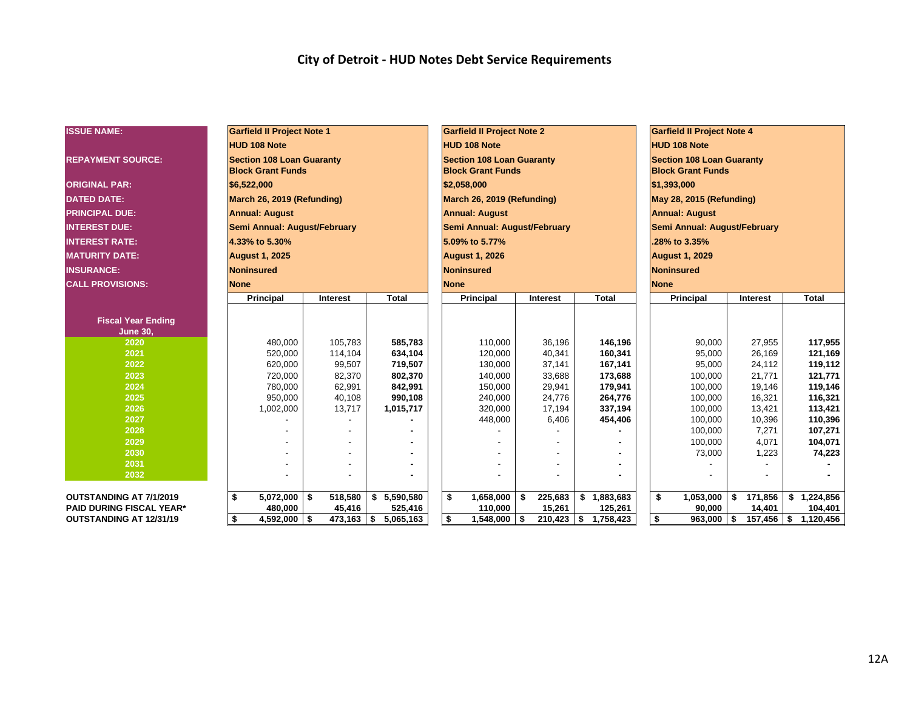#### **City of Detroit - HUD Notes Debt Service Requirements**

| <b>ISSUE NAME:</b>                           | <b>Garfield II Project Note 1</b>                            |              |                 | <b>Garfield II Project Note 2</b>                            |                |                      | <b>Garfield II Project Note 4</b>                            |                              |               |                  |  |  |  |
|----------------------------------------------|--------------------------------------------------------------|--------------|-----------------|--------------------------------------------------------------|----------------|----------------------|--------------------------------------------------------------|------------------------------|---------------|------------------|--|--|--|
|                                              | <b>HUD 108 Note</b>                                          |              |                 | <b>HUD 108 Note</b>                                          |                |                      |                                                              | <b>HUD 108 Note</b>          |               |                  |  |  |  |
| <b>REPAYMENT SOURCE:</b>                     | <b>Section 108 Loan Guaranty</b><br><b>Block Grant Funds</b> |              |                 | <b>Section 108 Loan Guaranty</b><br><b>Block Grant Funds</b> |                |                      | <b>Section 108 Loan Guaranty</b><br><b>Block Grant Funds</b> |                              |               |                  |  |  |  |
| <b>ORIGINAL PAR:</b>                         | \$6,522,000                                                  |              |                 | \$2,058,000                                                  |                |                      | \$1,393,000                                                  |                              |               |                  |  |  |  |
| <b>DATED DATE:</b>                           | March 26, 2019 (Refunding)                                   |              |                 | March 26, 2019 (Refunding)                                   |                |                      | May 28, 2015 (Refunding)                                     |                              |               |                  |  |  |  |
| <b>PRINCIPAL DUE:</b>                        | <b>Annual: August</b>                                        |              |                 | <b>Annual: August</b>                                        |                |                      |                                                              | <b>Annual: August</b>        |               |                  |  |  |  |
| <b>INTEREST DUE:</b>                         | Semi Annual: August/February                                 |              |                 | Semi Annual: August/February                                 |                |                      |                                                              | Semi Annual: August/February |               |                  |  |  |  |
| <b>INTEREST RATE:</b>                        | 4.33% to 5.30%                                               |              |                 | 5.09% to 5.77%                                               |                |                      |                                                              | .28% to 3.35%                |               |                  |  |  |  |
| <b>IMATURITY DATE:</b>                       | <b>August 1, 2025</b>                                        |              |                 | <b>August 1, 2026</b>                                        |                |                      |                                                              | <b>August 1, 2029</b>        |               |                  |  |  |  |
| <b>INSURANCE:</b>                            | <b>Noninsured</b>                                            |              |                 | Noninsured                                                   |                |                      |                                                              | Noninsured                   |               |                  |  |  |  |
| <b>CALL PROVISIONS:</b>                      | <b>None</b>                                                  |              |                 | <b>None</b>                                                  |                |                      | <b>None</b>                                                  |                              |               |                  |  |  |  |
|                                              | <b>Principal</b>                                             | Interest     | <b>Total</b>    | <b>Principal</b>                                             | Interest       | <b>Total</b>         |                                                              | <b>Principal</b>             | Interest      | <b>Total</b>     |  |  |  |
|                                              |                                                              |              |                 |                                                              |                |                      |                                                              |                              |               |                  |  |  |  |
| <b>Fiscal Year Ending</b><br><b>June 30,</b> |                                                              |              |                 |                                                              |                |                      |                                                              |                              |               |                  |  |  |  |
| 2020                                         | 480,000                                                      | 105,783      | 585,783         | 110,000                                                      | 36,196         | 146,196              |                                                              | 90,000                       | 27,955        | 117,955          |  |  |  |
| 2021                                         | 520,000                                                      | 114,104      | 634,104         | 120,000                                                      | 40,341         | 160,341              |                                                              | 95,000                       | 26,169        | 121,169          |  |  |  |
| 2022                                         | 620,000                                                      | 99,507       | 719,507         | 130,000                                                      | 37,141         | 167,141              |                                                              | 95,000                       | 24,112        | 119,112          |  |  |  |
| 2023                                         | 720,000                                                      | 82,370       | 802,370         | 140,000                                                      | 33,688         | 173,688              |                                                              | 100,000                      | 21,771        | 121,771          |  |  |  |
| 2024                                         | 780,000                                                      | 62,991       | 842,991         | 150,000                                                      | 29,941         | 179,941              |                                                              | 100,000                      | 19,146        | 119,146          |  |  |  |
| 2025                                         | 950,000                                                      | 40,108       | 990,108         | 240,000                                                      | 24,776         | 264,776              |                                                              | 100,000                      | 16,321        | 116,321          |  |  |  |
| 2026                                         | 1,002,000                                                    | 13,717       | 1,015,717       | 320,000                                                      | 17,194         | 337,194              |                                                              | 100,000                      | 13,421        | 113,421          |  |  |  |
| 2027                                         |                                                              |              |                 | 448,000                                                      | 6,406          | 454,406              |                                                              | 100,000                      | 10,396        | 110,396          |  |  |  |
| 2028                                         |                                                              |              |                 |                                                              |                |                      |                                                              | 100,000                      | 7,271         | 107,271          |  |  |  |
| 2029                                         |                                                              |              |                 |                                                              |                |                      |                                                              | 100,000                      | 4,071         | 104,071          |  |  |  |
| 2030                                         |                                                              |              |                 |                                                              |                |                      |                                                              | 73,000                       | 1,223         | 74,223           |  |  |  |
| 2031                                         |                                                              |              |                 |                                                              |                |                      |                                                              |                              |               |                  |  |  |  |
| 2032                                         |                                                              |              |                 |                                                              |                |                      |                                                              |                              |               |                  |  |  |  |
| <b>OUTSTANDING AT 7/1/2019</b>               | \$<br>$5,072,000$   \$                                       | 518,580      | 5,590,580<br>\$ | 1,658,000<br>\$                                              | 225,683<br>-\$ | \$1,883,683          | \$                                                           | 1,053,000                    | 171,856<br>s. | 1,224,856<br>-\$ |  |  |  |
| <b>PAID DURING FISCAL YEAR*</b>              | 480,000                                                      | 45,416       | 525,416         | 110,000                                                      | 15,261         | 125,261              |                                                              | 90,000                       | 14,401        | 104,401          |  |  |  |
| <b>OUTSTANDING AT 12/31/19</b>               | $4,592,000$ \\$<br>\$                                        | $473,163$ \$ | 5,065,163       | \$<br>$1,548,000$ \ \$                                       |                | 210,423 \$ 1,758,423 | \$                                                           | $963,000$ \$                 | $157,456$ \$  | 1,120,456        |  |  |  |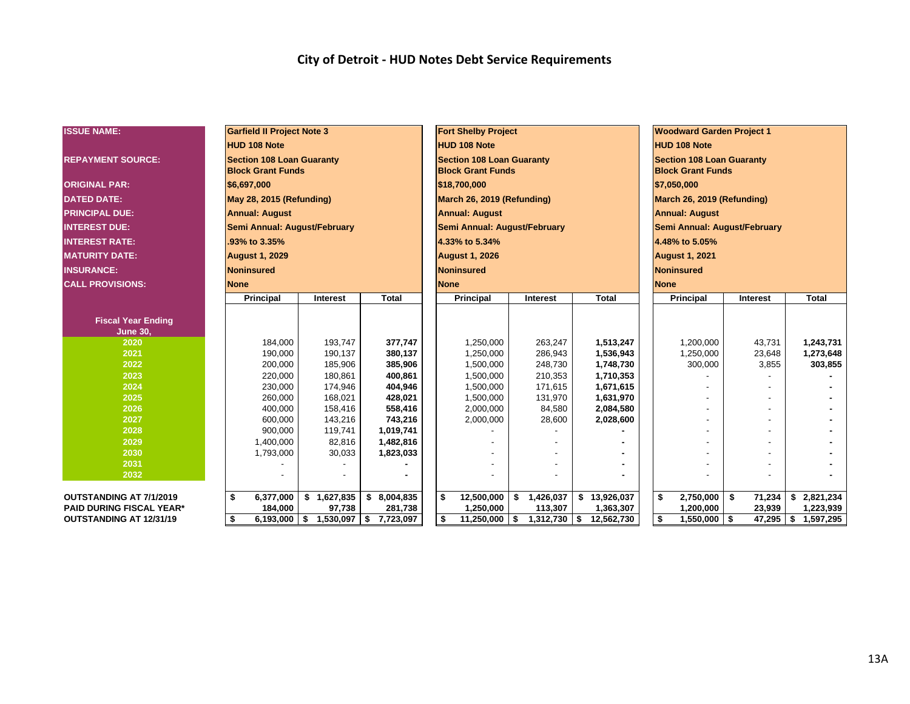#### **City of Detroit - HUD Notes Debt Service Requirements**

| <b>ISSUE NAME:</b>              | <b>Garfield II Project Note 3</b>                            |                            |                 |                            | <b>Fort Shelby Project</b>                                   |                      |                 |    |              |                            | <b>Woodward Garden Project 1</b>                             |        |             |           |              |  |  |
|---------------------------------|--------------------------------------------------------------|----------------------------|-----------------|----------------------------|--------------------------------------------------------------|----------------------|-----------------|----|--------------|----------------------------|--------------------------------------------------------------|--------|-------------|-----------|--------------|--|--|
|                                 | <b>HUD 108 Note</b>                                          |                            |                 |                            | <b>HUD 108 Note</b>                                          |                      |                 |    |              |                            | <b>HUD 108 Note</b>                                          |        |             |           |              |  |  |
| <b>REPAYMENT SOURCE:</b>        | <b>Section 108 Loan Guaranty</b><br><b>Block Grant Funds</b> |                            |                 |                            | <b>Section 108 Loan Guaranty</b><br><b>Block Grant Funds</b> |                      |                 |    |              |                            | <b>Section 108 Loan Guaranty</b><br><b>Block Grant Funds</b> |        |             |           |              |  |  |
| <b>ORIGINAL PAR:</b>            | \$6,697,000                                                  |                            |                 |                            | \$18,700,000                                                 |                      |                 |    |              |                            | \$7,050,000                                                  |        |             |           |              |  |  |
| <b>DATED DATE:</b>              | May 28, 2015 (Refunding)                                     |                            |                 | March 26, 2019 (Refunding) |                                                              |                      |                 |    |              | March 26, 2019 (Refunding) |                                                              |        |             |           |              |  |  |
| <b>PRINCIPAL DUE:</b>           | <b>Annual: August</b>                                        |                            |                 |                            | <b>Annual: August</b>                                        |                      |                 |    |              |                            | <b>Annual: August</b>                                        |        |             |           |              |  |  |
| <b>INTEREST DUE:</b>            | Semi Annual: August/February                                 |                            |                 |                            | Semi Annual: August/February                                 |                      |                 |    |              |                            | Semi Annual: August/February                                 |        |             |           |              |  |  |
| <b>INTEREST RATE:</b>           | .93% to 3.35%                                                |                            |                 |                            | 4.33% to 5.34%                                               |                      |                 |    |              |                            | 4.48% to 5.05%                                               |        |             |           |              |  |  |
| <b>MATURITY DATE:</b>           | <b>August 1, 2029</b>                                        |                            |                 |                            | <b>August 1, 2026</b>                                        |                      |                 |    |              |                            | <b>August 1, 2021</b>                                        |        |             |           |              |  |  |
| <b>INSURANCE:</b>               | <b>Noninsured</b>                                            |                            |                 |                            | <b>Noninsured</b>                                            |                      |                 |    |              |                            | Noninsured                                                   |        |             |           |              |  |  |
| <b>CALL PROVISIONS:</b>         | <b>None</b>                                                  |                            |                 | <b>None</b>                |                                                              |                      |                 |    |              |                            | <b>None</b>                                                  |        |             |           |              |  |  |
|                                 | <b>Principal</b>                                             | Interest                   | <b>Total</b>    |                            | <b>Principal</b>                                             |                      | <b>Interest</b> |    | <b>Total</b> |                            | <b>Principal</b>                                             |        | Interest    |           | <b>Total</b> |  |  |
|                                 |                                                              |                            |                 |                            |                                                              |                      |                 |    |              |                            |                                                              |        |             |           |              |  |  |
| <b>Fiscal Year Ending</b>       |                                                              |                            |                 |                            |                                                              |                      |                 |    |              |                            |                                                              |        |             |           |              |  |  |
| <b>June 30,</b><br>2020         | 184,000                                                      | 193,747                    | 377,747         |                            | 1,250,000                                                    |                      | 263,247         |    | 1,513,247    |                            | 1,200,000                                                    |        | 43,731      |           | 1,243,731    |  |  |
| 2021                            | 190,000                                                      | 190,137                    | 380,137         |                            | 1,250,000                                                    |                      | 286,943         |    | 1,536,943    |                            | 1,250,000                                                    |        | 23,648      |           | 1,273,648    |  |  |
| 2022                            | 200,000                                                      | 185,906                    | 385,906         |                            | 1,500,000                                                    |                      | 248,730         |    | 1,748,730    | 300,000<br>3,855           |                                                              |        |             |           | 303,855      |  |  |
| 2023                            | 220,000                                                      | 180,861                    | 400,861         |                            | 1,500,000                                                    |                      | 210,353         |    | 1,710,353    |                            |                                                              |        |             |           |              |  |  |
| 2024                            | 230,000                                                      | 174,946                    | 404,946         |                            | 1,500,000                                                    |                      | 171,615         |    | 1,671,615    |                            |                                                              |        |             |           |              |  |  |
| 2025                            | 260,000                                                      | 168,021                    | 428,021         |                            | 1,500,000                                                    |                      | 131,970         |    | 1,631,970    |                            |                                                              |        |             |           |              |  |  |
| 2026                            | 400,000                                                      | 158,416                    | 558,416         |                            | 2,000,000                                                    |                      | 84,580          |    | 2,084,580    |                            |                                                              |        |             |           |              |  |  |
| 2027                            | 600,000                                                      | 143,216                    | 743,216         |                            | 2,000,000                                                    |                      | 28,600          |    | 2,028,600    |                            |                                                              |        |             |           |              |  |  |
| 2028                            | 900.000                                                      | 119,741                    | 1,019,741       |                            |                                                              |                      |                 |    |              |                            |                                                              |        |             |           |              |  |  |
| 2029                            | 1,400,000                                                    | 82,816                     | 1,482,816       |                            |                                                              |                      |                 |    |              |                            |                                                              |        |             |           |              |  |  |
| 2030                            | 1,793,000                                                    | 30,033                     | 1,823,033       |                            |                                                              |                      |                 |    |              |                            |                                                              |        |             |           |              |  |  |
| 2031                            |                                                              |                            |                 |                            |                                                              |                      |                 |    |              |                            |                                                              |        |             |           |              |  |  |
| 2032                            |                                                              |                            |                 |                            |                                                              |                      |                 |    |              |                            |                                                              |        |             |           |              |  |  |
| <b>OUTSTANDING AT 7/1/2019</b>  | \$<br>6,377,000                                              | \$1,627,835                | 8,004,835<br>\$ | \$                         | 12,500,000                                                   | \$                   | 1,426,037       |    | \$13,926,037 |                            | 2,750,000<br>\$                                              | -\$    | 71,234      | \$        | 2,821,234    |  |  |
| <b>PAID DURING FISCAL YEAR*</b> | 184,000                                                      | 97,738                     | 281,738         |                            | 1,250,000                                                    | 113,307<br>1,363,307 |                 |    |              | 1,200,000                  |                                                              | 23,939 |             | 1,223,939 |              |  |  |
| <b>OUTSTANDING AT 12/31/19</b>  | \$<br>6,193,000                                              | <b>S</b><br>$1,530,097$ \$ | 7,723,097       | \$                         | 11,250,000                                                   | \$                   | 1,312,730       | \$ | 12,562,730   |                            | \$<br>$1,550,000$ \ \$                                       |        | $47,295$ \$ |           | 1,597,295    |  |  |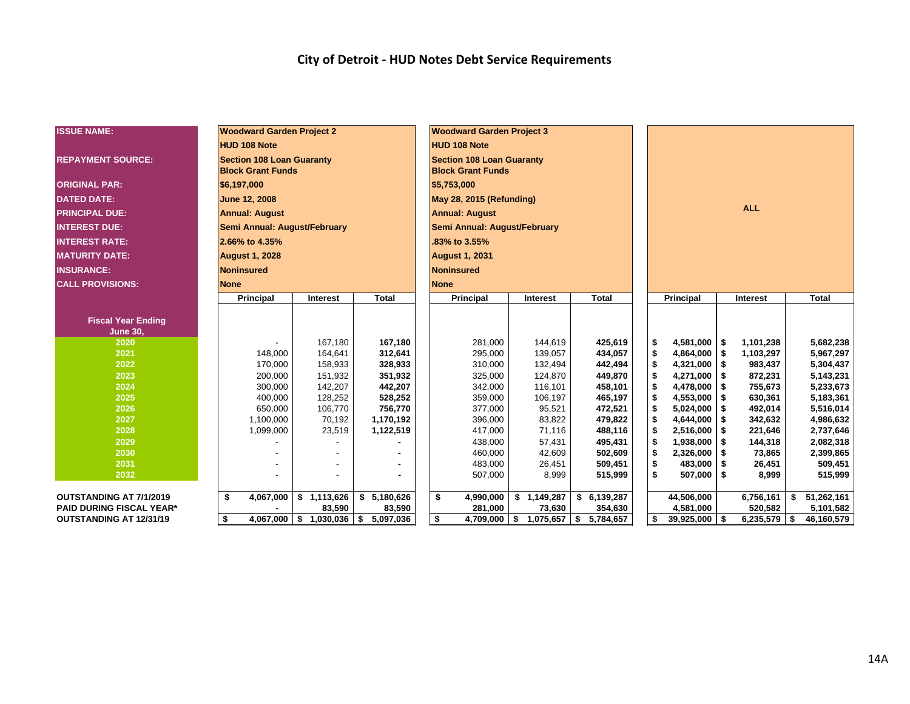#### **City of Detroit - HUD Notes Debt Service Requirements**

| <b>ISSUE NAME:</b>              | <b>Woodward Garden Project 2</b>                             |                                           |              | <b>Woodward Garden Project 3</b>                             |  |                        |                                       |            |                        |  |                |    |              |  |
|---------------------------------|--------------------------------------------------------------|-------------------------------------------|--------------|--------------------------------------------------------------|--|------------------------|---------------------------------------|------------|------------------------|--|----------------|----|--------------|--|
|                                 | <b>HUD 108 Note</b>                                          |                                           |              | <b>HUD 108 Note</b>                                          |  |                        |                                       |            |                        |  |                |    |              |  |
| <b>REPAYMENT SOURCE:</b>        | <b>Section 108 Loan Guaranty</b><br><b>Block Grant Funds</b> |                                           |              | <b>Section 108 Loan Guaranty</b><br><b>Block Grant Funds</b> |  |                        |                                       |            |                        |  |                |    |              |  |
| <b>ORIGINAL PAR:</b>            | \$6,197,000                                                  |                                           |              | \$5,753,000                                                  |  |                        |                                       |            |                        |  |                |    |              |  |
| <b>DATED DATE:</b>              | June 12, 2008                                                |                                           |              | May 28, 2015 (Refunding)                                     |  |                        |                                       |            |                        |  |                |    |              |  |
| <b>PRINCIPAL DUE:</b>           | <b>Annual: August</b>                                        |                                           |              | <b>Annual: August</b>                                        |  |                        |                                       | <b>ALL</b> |                        |  |                |    |              |  |
| <b>INTEREST DUE:</b>            | Semi Annual: August/February                                 |                                           |              | Semi Annual: August/February                                 |  |                        |                                       |            |                        |  |                |    |              |  |
| <b>INTEREST RATE:</b>           | 2.66% to 4.35%                                               |                                           |              | .83% to 3.55%                                                |  |                        |                                       |            |                        |  |                |    |              |  |
| <b>MATURITY DATE:</b>           | <b>August 1, 2028</b>                                        |                                           |              | <b>August 1, 2031</b>                                        |  |                        |                                       |            |                        |  |                |    |              |  |
| <b>INSURANCE:</b>               | Noninsured                                                   |                                           |              | <b>Noninsured</b>                                            |  |                        |                                       |            |                        |  |                |    |              |  |
| <b>CALL PROVISIONS:</b>         | <b>None</b>                                                  |                                           |              | <b>None</b>                                                  |  |                        |                                       |            |                        |  |                |    |              |  |
|                                 | Principal                                                    | Interest                                  | <b>Total</b> | <b>Total</b><br>Principal<br>Interest                        |  |                        |                                       |            | Principal              |  | Interest       |    | <b>Total</b> |  |
|                                 |                                                              |                                           |              |                                                              |  |                        |                                       |            |                        |  |                |    |              |  |
| <b>Fiscal Year Ending</b>       |                                                              |                                           |              |                                                              |  |                        |                                       |            |                        |  |                |    |              |  |
| <b>June 30,</b><br>2020         |                                                              | 167,180                                   | 167,180      | 281,000                                                      |  | 144,619                | 425,619                               |            | $4,581,000$ \$<br>\$   |  | 1,101,238      |    | 5,682,238    |  |
| 2021                            | 148.000                                                      | 164,641                                   | 312,641      | 434,057<br>295,000<br>139,057                                |  |                        |                                       |            | \$<br>$4,864,000$ \ \$ |  | 1,103,297      |    | 5,967,297    |  |
| 2022                            | 170,000                                                      | 158,933                                   | 328,933      | 310,000                                                      |  | 132,494                | 442,494                               |            | \$<br>$4,321,000$ \ \$ |  | 983,437        |    | 5,304,437    |  |
| 2023                            | 200,000                                                      | 151,932                                   | 351,932      | 325,000                                                      |  | 124,870                | 449,870                               |            | \$<br>$4,271,000$ \ \$ |  | 872,231        |    | 5,143,231    |  |
| 2024                            | 300,000                                                      | 142,207                                   | 442,207      | 342,000                                                      |  | 116,101                | 458,101                               |            | \$<br>$4,478,000$ \\$  |  | 755,673        |    | 5,233,673    |  |
| 2025                            | 400,000                                                      | 128,252                                   | 528,252      | 359,000                                                      |  | 106,197                | 465,197                               |            | \$<br>$4,553,000$ \$   |  | 630,361        |    | 5,183,361    |  |
| 2026                            | 650,000                                                      | 106,770                                   | 756,770      | 377,000                                                      |  | 95,521                 | 472,521                               |            | \$<br>$5,024,000$ \$   |  | 492,014        |    | 5,516,014    |  |
| 2027                            | 1,100,000                                                    | 70,192                                    | 1,170,192    | 396,000                                                      |  | 83,822                 | 479,822                               |            | \$<br>$4,644,000$ \$   |  | 342,632        |    | 4,986,632    |  |
| 2028                            | 1,099,000                                                    | 23,519                                    | 1,122,519    | 417,000                                                      |  | 71,116                 | 488,116                               |            | \$<br>$2,516,000$ \$   |  | 221,646        |    | 2,737,646    |  |
| 2029                            |                                                              |                                           |              | 438,000                                                      |  | 57,431                 | 495,431                               |            | \$<br>$1,938,000$ \$   |  | 144,318        |    | 2,082,318    |  |
| 2030                            |                                                              |                                           |              | 460,000                                                      |  | 42,609                 | 502,609                               |            | \$<br>$2,326,000$ \$   |  | 73,865         |    | 2,399,865    |  |
| 2031                            |                                                              |                                           |              | 483,000                                                      |  | 26,451                 | 509,451                               |            | \$<br>$483,000$ \$     |  | 26,451         |    | 509,451      |  |
| 2032                            |                                                              |                                           |              | 507,000                                                      |  | 8,999                  | 515,999                               |            | \$<br>$507,000$ \$     |  | 8,999          |    | 515,999      |  |
|                                 |                                                              |                                           |              |                                                              |  |                        |                                       |            |                        |  |                |    |              |  |
| <b>OUTSTANDING AT 7/1/2019</b>  | 4,067,000<br>\$                                              | \$1,113,626                               | \$5,180,626  | 4,990,000<br>\$                                              |  | $\overline{1,149,287}$ | \$6,139,287                           |            | 44,506,000             |  | 6,756,161      | \$ | 51,262,161   |  |
| <b>PAID DURING FISCAL YEAR*</b> |                                                              | 83,590                                    | 83,590       | 281,000                                                      |  | 73,630                 | 354,630                               |            | 4,581,000              |  | 520,582        |    | 5,101,582    |  |
| OUTSTANDING AT 12/31/19         | \$                                                           | $4,067,000$   \$ 1,030,036   \$ 5,097,036 |              | \$                                                           |  |                        | $4,709,000$ \$ 1,075,657 \$ 5,784,657 |            | \$<br>$39,925,000$ \$  |  | $6,235,579$ \$ |    | 46,160,579   |  |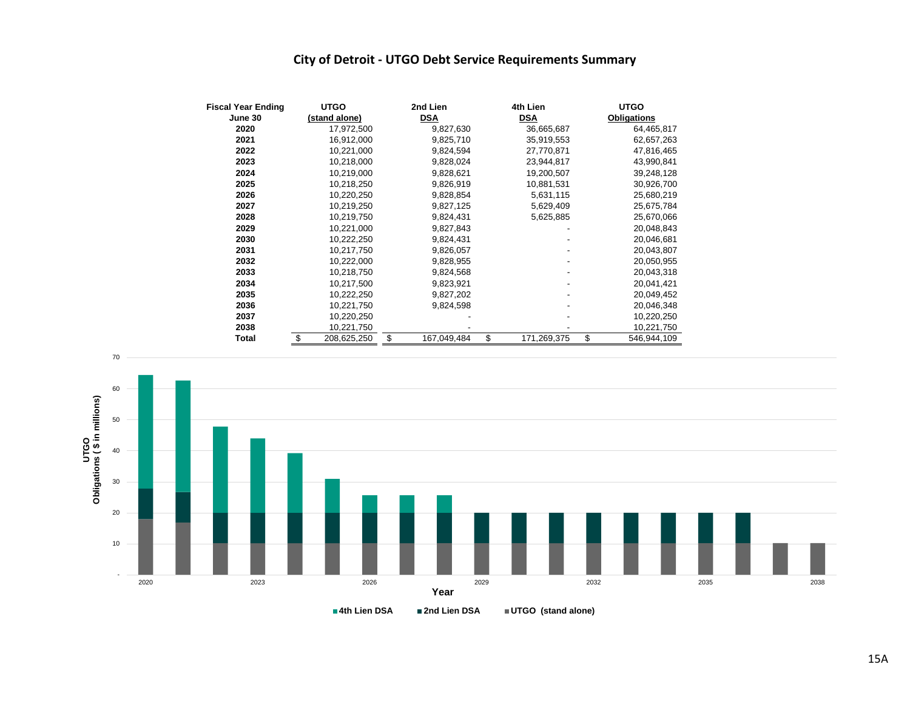#### **City of Detroit - UTGO Debt Service Requirements Summary**

| <b>Fiscal Year Ending</b> | <b>UTGO</b> |               |    | 2nd Lien    | 4th Lien          | <b>UTGO</b>        |  |  |  |
|---------------------------|-------------|---------------|----|-------------|-------------------|--------------------|--|--|--|
| June 30                   |             | (stand alone) |    | <b>DSA</b>  | <b>DSA</b>        | <b>Obligations</b> |  |  |  |
| 2020                      |             | 17,972,500    |    | 9,827,630   | 36,665,687        | 64,465,817         |  |  |  |
| 2021                      |             | 16,912,000    |    | 9,825,710   | 35,919,553        | 62,657,263         |  |  |  |
| 2022                      |             | 10,221,000    |    | 9,824,594   | 27,770,871        | 47,816,465         |  |  |  |
| 2023                      |             | 10,218,000    |    | 9,828,024   | 23,944,817        | 43,990,841         |  |  |  |
| 2024                      |             | 10,219,000    |    | 9,828,621   | 19,200,507        | 39,248,128         |  |  |  |
| 2025                      |             | 10,218,250    |    | 9,826,919   | 10,881,531        | 30,926,700         |  |  |  |
| 2026                      |             | 10,220,250    |    | 9,828,854   | 5,631,115         | 25,680,219         |  |  |  |
| 2027                      |             | 10,219,250    |    | 9,827,125   | 5,629,409         | 25,675,784         |  |  |  |
| 2028                      |             | 10,219,750    |    | 9,824,431   | 5,625,885         | 25,670,066         |  |  |  |
| 2029                      |             | 10,221,000    |    | 9,827,843   |                   | 20,048,843         |  |  |  |
| 2030                      |             | 10,222,250    |    | 9,824,431   |                   | 20,046,681         |  |  |  |
| 2031                      |             | 10,217,750    |    | 9,826,057   |                   | 20,043,807         |  |  |  |
| 2032                      |             | 10,222,000    |    | 9,828,955   |                   | 20,050,955         |  |  |  |
| 2033                      |             | 10,218,750    |    | 9,824,568   |                   | 20,043,318         |  |  |  |
| 2034                      |             | 10,217,500    |    | 9,823,921   |                   | 20,041,421         |  |  |  |
| 2035                      |             | 10,222,250    |    | 9,827,202   |                   | 20,049,452         |  |  |  |
| 2036                      |             | 10,221,750    |    | 9,824,598   |                   | 20,046,348         |  |  |  |
| 2037                      |             | 10,220,250    |    |             |                   | 10,220,250         |  |  |  |
| 2038                      |             | 10,221,750    |    |             |                   | 10,221,750         |  |  |  |
| Total                     | \$          | 208,625,250   | \$ | 167,049,484 | \$<br>171,269,375 | \$<br>546,944,109  |  |  |  |